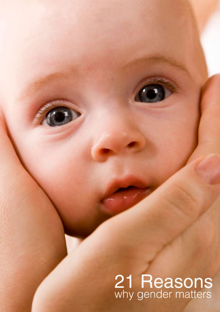21 Reasons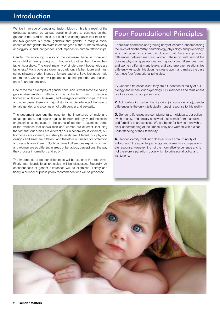# **Introduction**

We live in an age of gender confusion. Much of this is a result of the deliberate attempt by various social engineers to convince us that gender is not fixed or static, but fluid and changeable; that there are not two genders but many genders; that gender is really a social construct; that gender roles are interchangeable; that humans are really androgynous; and that gender is not important in human relationships.

Gender role modelling is also on the decrease, because more and more children are growing up in households other than the motherfather household. The great majority of single-parent households are fatherless.<sup>1</sup> Many boys are growing up without a father figure and most schools have a predominance of female teachers. Boys lack good male role models. Confusion over gender is thus compounded and passed on to future generations.

One of the main examples of gender confusion is what some are calling gender disorientation pathology.<sup>1</sup> This is the term used to describe homosexual, lesbian, bi-sexual, and transgender relationships. In these and other cases, there is a major distortion or disordering of the male or female gender, and a confusion of both gender and sexuality.

This document lays out the case for the importance of male and female genders, and argues against the new androgyny and the social engineering taking place in the arena of gender. It examines some of the evidence that shows men and women are different, including the fact that our brains are different,<sup>3</sup> our biochemistry is different, our hormones are different, our strength levels are different, our physical designs and sizes are different, and therefore our needs for protection and security are different. Such hardwired differences explain why men and women are so different in areas of behaviour, perceptions, the way they process information, and so on.<sup>4</sup>

The importance of gender differences will be explored in three ways: Firstly, four foundational principles will be discussed. Secondly, 21 consequences of gender differences will be examined. Thirdly and finally, a number of public policy recommendations will be proposed.

# Four Foundational Principles

There is an enormous and growing body of research, encompassing the fields of biochemistry, neurobiology, physiology and psychology, which all point to a clear conclusion: that there are profound differences between men and women. These go well beyond the obvious physical appearances and reproductive differences; men and women differ at many levels, and also approach relationships differently. As such, this document rests upon, and makes the case for, these four foundational principles:

**1.** Gender differences exist; they are a fundamental reality of our biology and impact our psychology. Our maleness and femaleness is a key aspect to our personhood.

**2.** Acknowledging, rather than ignoring (or worse denying), gender differences is the only intellectually honest response to this reality.

**3.** Gender differences are complementary; individuals, our collective humanity, and society as a whole, all benefit from masculine and feminine characteristics. We are better for having men with a clear understanding of their masculinity and women with a clear understanding of their femininity.

**4.** Gender identity confusion does exist in a small minority of individuals.<sup>5</sup> It is a painful pathology and warrants a compassionate response. However it is not the 'normative' experience and is not therefore a paradigm upon which to drive social policy and institutions.

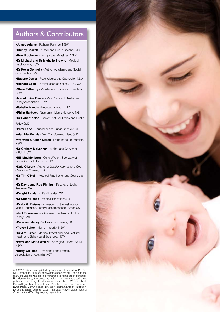# Authors & Contributors

**•James Adams** - Fathers4Families, NSW

**•Shirley Baskett** - Author and Public Speaker, VIC

**•Ron Brookman** - Living Water Ministries, NSW

**•Dr Michael and Dr Michelle Browne** - Medical Practitioners, NSW

**•Dr Kevin Donnelly** - Author, Academic and Social Commentator, VIC

**•Eugene Dwyer** - Psychologist and Counsellor, NSW

**•Richard Egan** - Family Research Officer, FOL, WA

**•Steve Estherby** - Minister and Social Commentator, NSW

**•Mary-Louise Fowler** - Vice President, Australian Family Association, NSW

**•Babette Francis** - Endeavour Forum, VIC

**•Philip Harback** - Tasmanian Men's Network, TAS

**•Dr Robert Kelso** - Senior Lecturer, Ethics and Public Policy QLD

**•Peter Lane** - Counsellor and Public Speaker, QLD

**•Alan MacKenzie** - Men Transforming Men, QLD

**•Warwick & Alison Marsh** - Fatherhood Foundation, NSW

**•Dr Graham McLennan** - Author and Convenor NACL, NSW

**•Bill Muehlenberg** - CultureWatch, Secretary of Family Council of Victoria, VIC

**•Dale O'Leary** - Author of *Gender Agenda* and *One Man, One Woman*, USA

**•Dr Tim O'Neill** - Medical Practitioner and Counsellor, AC<sub>T</sub>

**•Dr David and Ros Phillips** - Festival of Light Australia, SA

**•Dwight Randall** - Life Ministries, WA

**•Dr Stuart Reece** - Medical Practitioner, QLD

**•Dr Judith Reisman** - President of the Institute for Media Education, Family Researcher and Author, USA

**•Jack Sonnemann** - Australian Federation for the Family, TAS

**•Peter and Jenny Stokes** - Saltshakers, VIC

**•Trevor Suitor** - Men of Integrity, NSW

**•Dr Jim Turner** - Medical Practitioner and Lecturer Health and Behavioural Sciences, NSW

**•Peter and Maria Walker** - Aboriginal Elders, AICM, NSW

**•Barry Williams** - President, Lone Fathers Association of Australia, ACT

© 2007 Published and printed by Fatherhood Foundation, PO Box 542, Unanderra, NSW 2520 www.fatherhood.org.au Thanks to the many individuals who are too numerous to name but in particular, Bill Muehlenberg, the executive editor who has exercised great patience assembling the dozens of contributions. We also thank Richard Egan, Mary-Louise Fowler, Babette Francis, Ron Brookman, Byron Pirola, Mark Alexander, Dr Judith Reisman, Dr Rick Fitzgibbon, Dr Joe Nicolosi, Eugene Dwyer, Phil Latz, Wayne Larkin, Layout Consultant and Tim Nightingale, Layout Artist.

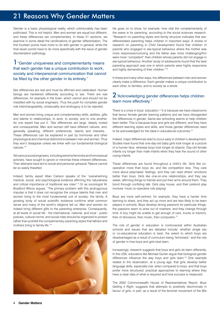# 21 Reasons Why Gender Matters

Gender is a basic physiological reality, which unfortunately has been politicised. This is not helpful. Men and women are equal but different, and these differences are complementary. In these 21 sections, we examine in some detail the ramifications of gender differentiation. The first fourteen points have more to do with gender in general, while the final seven points have to do more specifically with the issue of gender disorientation pathology.

### 1"Gender uniqueness and complementarity means that each gender has a unique contribution to work, society and interpersonal communication that cannot be filled by the other gender in its entirety."

Sex differences are real and must be affirmed and celebrated. Human beings are hardwired differently according to sex. There are real differences, for example in the brain, which cannot and should not be meddled with by social engineers. Thus the push for complete gender role interchangeability, unisexuality and androgyny is to be rejected.

Men and women bring unique and complementary skills, abilities, gifts and talents to relationships, to work, to society, and to one another. As one expert has put it, "Sex differences are large, deeply rooted and consequential. Men and women still have different natures, and, generally speaking, different preferences, talents and interests… These differences can be explained in part by hormones and other physiological and chemical distinctions between men and women. Thus they won't disappear unless we tinker with our fundamental biological natures."<sup>6</sup>

Yet various social engineers, including extreme feminists and homosexual activists, have sought to ignore or minimise these inherent differences. Their attempts have led to social and personal upheaval.<sup>7</sup> Nature cannot be so easily thwarted.

Indeed, family expert Allan Carlson speaks of the "overwhelming medical, social, and psychological evidence affirming the naturalness and critical importance of traditional sex roles".<sup>8</sup> Or as sociologist W. Bradford Wilcox argues, "The primary problem with this androgynous impulse is that it does not recognize the unique talents that men and women bring to the most fundamental unit of society: the family. A growing body of social scientific evidence confirms what common sense and many of the world's religions tell us: Men and women do indeed bring different gifts to the parenting enterprise. Consequently, at all levels of social life - the international, national, and local - public policies, cultural norms, and social roles should be organized to protect rather than prohibit the complementary parenting styles that fathers and mothers bring to family life."<sup>9</sup>



He goes on to show, for example, how vital the complementarity of the sexes is for parenting, according to the social sciences research. "Research on parenting styles and family structure indicates that sexdifferentiated parenting helps children in important ways. A review of research on parenting in *Child Development* found that children of parents who engaged in sex-typical behaviour where the mother was more responsive/nurturing and the father was more challenging/firm were more "competent" than children whose parents did not engage in sex-typical behaviour. Another study of adolescents found that the best parenting approach was one in which parents were highly responsive and highly demanding of their children."<sup>10</sup>

In these and many other ways, the differences between men and women clearly make a difference. Each gender makes a unique contribution to each other, to families, and to society as a whole.

## $\boldsymbol{2}$  "Acknowledging gender differences helps children learn more effectively."

There is a crisis in boys' education.<sup>11</sup> It is because we have classrooms that favour female gender learning patterns and we have disregarded the differences in gender. Same-sex schooling seems to help children learn better. This is because boys and girls are different, and they have different learning styles and skills, and those gender differences need to be acknowledged for the ideal in educational outcomes.<sup>12</sup>

Indeed, major differences start to occur early in children's development. Studies have found that one-day-old baby girls look longer at a picture of a human face, whereas boys look longer at objects. Day-old female infants cry longer than male infants when they hear the sound of other crying infants.

These differences are found throughout a child's life. Girls like cooperation more than boys do, and like competition less. They care more about playmates' feelings, and they can read others' emotions better than boys. Girls like one-on-one relationships, and they say sweet, affirming things to friends and put their arms around them. They bond through confiding talk. Girls play house, and their pretend play involves 'more co-operative role playing'.

Boys are more self-centred; for example, they have a harder time learning to share, and they act up more and are less likely to be team players in schools. Boys develop strong passions for particular things, the passions seem to arise out of nowhere, and they change through time. A boy might be unable to get enough of cars, trucks or tractors, then of dinosaurs, then music, then computers.<sup>13</sup>

The role of gender in education is controversial within Australian schools and issues that are debated include: whether single sex or co-educational education is best; the extent to which boys are disadvantaged as a result of curriculum being 'feminised;' and the role of gender in how boys and girls best learn.

Increasingly, research suggests that boys and girls do learn differently. In the USA, educators like Michael Gurian argue that biological gender differences influence the way boys and girls learn.<sup>14</sup> One example relates to the observation, at a young age, that girls develop better language skills, especially oral, when compared to boys, and that boys prefer more structured, practical approaches to learning where they have a clear idea of what is required and how success is measured.

The 2002 Commonwealth House of Representatives Report, *Boys Getting it Right*, suggests that attempts to positively discriminate in favour of girls, in part, as a result of the feminist movement of the 60s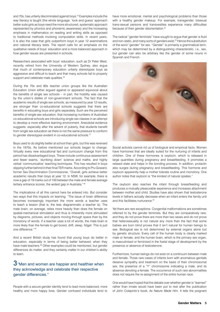and 70s, has unfairly discriminated against boys.<sup>15</sup> Examples include the way literacy is taught (the whole language, 'look and guess' approach better suits girls as boys need the more structured, systematic approach represented by phonics and phonemic awareness) and the increasing emphasis in mathematics on reading and writing skills as opposed to traditional methods involving computation skills. In recent years, it is also the case that girls outperform boys in year 12 examinations and national literacy tests. The report calls for an emphasis on the qualitative needs of boys' education and a more balanced approach in how gender issues are presented in schools.

Researchers associated with boys' education, such as Dr Peter West, recently retired from the University of Western Sydney, also argue that much of contemporary education unfairly stereotypes boys as aggressive and difficult to teach and that many schools fail to properly support and celebrate male qualities.<sup>16</sup>

During the 70s and 80s teacher union groups like the Australian Education Union either argued against or appeared equivocal about the benefits of single sex schools – in part, the hostility was caused by the union's dislike of non-government schools. The fact that the academic results of single sex schools, as measured by year 12 results, are stronger than co-educational schools suggests that there are benefits in educating boys and girls separately. Such are the perceived benefits of single-sex education, that increasing numbers of Australian co-educational schools are introducing single sex classes in an attempt to develop a more effective learning environment. Anecdotal evidence suggests, especially after the advent of puberty, that students benefit from single sex education as there is not the same pressure to conform to gender stereotypes evident in co-educational schools.<sup>17</sup>

Boys used to do slightly better at school than girls, but this was reversed in the 1970s. As before mentioned our schools began to change. Virtually every new educational fad and curriculum change from this period has disadvantaged boys. These include continuous assessment and fewer exams, 'dumbing down' science and maths, and highly verbal 'communicative' teaching techniques. This has resulted in boys slipping further behind in their final TER marks. According to Pru Goward, former Sex Discrimination Commissioner, "Overall, girls achieve better academic results than boys at year 12. In NSW, for example, there is now a gap of 19 marks out of 100 between the male and female average tertiary entrance scores, the widest gap in Australia."<sup>18</sup>

The implications of all this cannot here be entered into. But consider two ways that this impacts on learning. "The issue of brain difference becomes increasingly important the more words a teacher uses to teach a lesson (that is, the less diagrammatic a teacher is). The male brain, on average, relies more heavily than does the female on spatial-mechanical stimulation and thus is inherently more stimulated by diagrams, pictures, and objects moving through space than by the monotony of words. If a teacher uses a lot of words, the male brain is more likely than the female to get bored, drift, sleep, fidget. This is just one difference."<sup>19</sup>

And a recent British study has found that young boys do better in education, especially in terms of being better behaved, when they have male teachers.<sup>20</sup> Other examples could be mentioned, but gender differences do matter, and they certainly matter in our children's ability to learn.

## 3 "Men and women are happier and healthier when they acknowledge and celebrate their respective gender differences."

People with a secure gender identity tend to lead more balanced, more healthy and more happy lives. Gender confused individuals tend to have more emotional, mental and psychological problems than those with a healthy gender makeup. For example, transgender, bisexual trans-sexual persons and transvestites experience many difficulties because of their gender disorientation.<sup>21</sup>

The radical "gender feminists" have sought to argue that gender is fluid and non-static, and many sorts of genders exist.<sup>22</sup> Hence the substitution of the word "gender" for sex. "Gender" is primarily a grammatical term, which may be determined by a distinguishing characteristic, i.e., sex, but gender can also be arbitrary like the gender of some nouns in Spanish and French.



Social activists cannot rid us of biological and empirical facts. Women have hormones that are ideally suited for the nurturing of infants and children. One of these hormones is oxytocin, which is released in large quantities during pregnancy and breastfeeding. It promotes a relaxed state and helps in the bonding process. In addition, prolactin also surges during pregnancy and breastfeeding. This hormone and oxytocin apparently help a mother tolerate routine and monotony. One author notes that oxytocin is "the kindest of natural opiates."

The oxytocin also reaches the infant through breastfeeding and produces a mutually pleasurable experience and increases attachment between mother and child. Studies have also shown that testosterone levels in fathers actually decrease when an infant enters the family unit and this facilitates nurturance.<sup>23</sup>

Yet there are rare exceptions. Congenital malformations are sometimes referred to by the gender feminists. But they are comparatively rare, and they do not prove there are more than two sexes and do not prove that heterosexuality is not natural any more than the fact that some babies are born blind proves that it isn't natural for human beings to see. Biological sex is not determined by external organs alone but by genetic structure. Every cell of the human body is clearly marked male or female, and the human brain, which is the primary sex organ, is masculinised or feminized in the foetal stage of development by the presence or absence of testosterone.

Furthermore, human beings do not exist on a continuum between male and female. Those rare cases of infants born with anomalous genitals deserve sympathy and treatment on the basis of their chromosomal sex, the presence of a "Y" chromosome indicating a male, and its absence denoting a female. The occurrence of such rare abnormalities does not require the re-assignment of the entire human race.

One would have hoped that the debate over whether gender is "learned" rather than innate would have been put to rest after the publication of John Colapinto's book, *As Nature Made Him*. It tells the poignant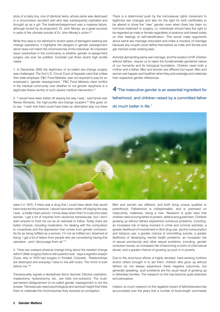story of a baby boy, one of identical twins, whose penis was destroyed in a circumcision accident and who was subsequently castrated and brought up as a girl. The treatment/experiment was a massive failure, although touted by its proponent, Dr. John Money, as a great success in spite of the ultimate suicide of Dr. John Money's victim.<sup>24</sup>

While this case is not identical to recent cases of teenagers seeking sex change operations, it highlights the dangers in gender reassignment which does not match the chromosomes of the individual. An important issue overlooked in the controversy is whether gender re-assignment surgery can ever be justified. Consider just three recent high profile cases:

1. In December 2002 the legitimacy of so-called sex-change surgery was challenged. The 2nd U.S. Circuit Court of Appeals ruled that a New York state employer, P&C Food Markets, was not required to pay for an employee's "gender reassignment." P&C Food Markets cited conflict in the medical community over whether or not gender dysphoria is a legitimate illness worthy of such severe medical intervention.<sup>25</sup>

2. "I would have been better off staying the way I was," said tennis star Renee Richards, the high-profile sex-change recipient.<sup>26</sup> She goes on to say: "I wish that there could have been an alternative way, but there

There is a determined push by the homosexual rights movement to legitimize sex changes and also for the right for birth certificates to be altered to show the "new" gender, even when there has been no hormone treatment or surgery, i.e. individuals should have the right to be regarded as male or female regardless of anatomy and based solely on their feelings of self-identification. This would make arguments about same-sex marriage redundant and make a mockery of marriage because any couple could define themselves as male and female and get married under existing laws.

Activists demanding same-sex marriage, and the creation of IVF children without fathers, require us to reject the fundamentally gendered nature of our humanity and its biological foundation. Children need both a mother and a father. Men and women are different but equal. Men and women are happier and healthier when they acknowledge and celebrate their respective gender differences.

4"The masculine gender is an essential ingredient for fatherhood, and children raised by a committed father do much better in life."



wasn't in 1975. If there was a drug that I could have taken that would have reduced the pressure, I would have been better off staying the way I was - a totally intact person. I know deep down that I'm a second-class woman. I get a lot of inquiries from would-be transsexuals, but I don't want anyone to hold me out as an example to follow. Today there are better choices, including medication, for dealing with the compulsion to crossdress and the depression that comes from gender confusion. As far as being fulfilled as a woman, I'm not as fulfilled as I dreamed of being. I get a lot of letters from people who are considering having this operation...and I discourage them all."<sup>27</sup>

3. "How can outward physical change bring about the needed change within? (After surgery) there is still a painful void," says a regretful Joseph Cluse, who in 1979 had surgery in Trinidad, Colorado. "Relationships are destroyed and everyday I have to live with scars. The mirror is ever before me."<sup>28</sup>

Transsexuality signals a deceptively fierce disorder. Elective castration, mastectomy, hysterectomy, etc., are futile non-solutions. The cruel, permanent disfigurement of so-called gender reassignment is not the answer. Transsexuals need psychological and spiritual insight that frees them to celebrate the chromosomes they received at conception.

Men and women are different, and both bring unique qualities to parenthood. Fatherhood is indispensable, and is premised on masculinity, maleness, being a man. Research is quite clear that children need a loving father to protect, defend and guide them. Children growing up without fathers experience numerous problems, including: an increased risk of being involved in crime and criminal activities; a greater likelihood of involvement in illicit drug use, alcohol consumption and tobacco use; a greater chance of committing suicide; a greater likelihood of developing mental health problems; an increased risk of sexual promiscuity and other sexual problems, including, gender confusion issues; an increased risk of becoming a victim of child sexual abuse; and a greater chance of growing up poor or in poverty.

Due to the enormous efforts of highly devoted, hard-working mothers and/or others brought in to aid them, children who grow up without fathers do not always experience these negative outcomes, but generally speaking, such problems are the usual result of growing up in fatherless families. The research on this has become quite extensive and persuasive.

Indeed, so much research on the negative impact of fatherlessness has accumulated over the years that a number of book-length summaries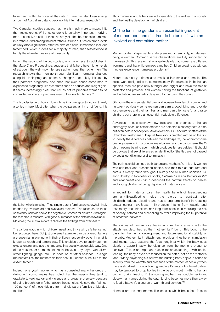have been written to cover all the data.<sup>29</sup> There has also been a large amount of Australian data to back up this international research.<sup>30</sup>

Two Canadian studies suggest that there is much more to masculinity than testosterone. While testosterone is certainly important in driving men to conceive a child, it takes an array of other hormones to turn men into fathers. And among the best fathers, it turns out, testosterone levels actually drop significantly after the birth of a child. If manhood includes fatherhood, which it does for a majority of men, then testosterone is hardly the ultimate measure of masculinity.

In fact, the second of the two studies, which was recently published in the Mayo Clinic Proceedings, suggests that fathers have higher levels of estrogen, the well-known female sex hormone, than other men. The research shows that men go through significant hormonal changes alongside their pregnant partners, changes most likely initiated by their partner's pregnancy, and ones that even cause some men to experience pregnancy-like symptoms such as nausea and weight gain. It seems increasingly clear that just as nature prepares women to be committed mothers, it prepares men to be devoted fathers.<sup>31</sup>

The broader issue of how children thrive in a biological two-parent family also ties in here. Most often when the two-parent family is not found, it is



the father who is missing. Thus single-parent families are overwhelmingly headed by overworked and overtaxed mothers. The research on these sorts of households shows the negative outcomes for children. And again, the research is massive, with good summaries of the data now available.<sup>32</sup> Moreover, the Australia data replicates the findings from overseas.<sup>33</sup>

The various ways in which children need, and thrive with, a father cannot be recounted here. But just one small example can be offered: fathers are essential in playing with their children, especially boys, in what is known as rough and tumble play. This enables boys to sublimate their excess energy and use their muscles in a socially acceptable way. One of the reasons for so much anti-social behaviour by boys - vandalism, street fighting, gangs, etc. - is because of father-absence. In single mother families, the mothers do their best, but cannot substitute for the absent father.<sup>34</sup>

Indeed, one youth worker who has counselled many hundreds of delinquent young males has noted that the reason they tend to gravitate toward gangs and violence and drugs is precisely because of being brought up in father-absent households. He says that "almost 100 per cent" of these kids are from "single parent families or blended families" 35

Thus maleness and fathers are indispensable to the wellbeing of society and the healthy development of children.

# $5$  "The feminine gender is an essential ingredient of motherhood, and children do better in life with an involved and committed mother."

Motherhood is indispensable, and is premised on femininity, femaleness, being a woman. Common sense observations are fully supported by the research. This research shows quite clearly that women are different from men, and that children need a mother. Children growing up without mothers experience numerous problems.<sup>36</sup>

Nature has clearly differentiated mankind into male and female. The sexes were designed to be complementary. For example, in the human species, men are physically stronger and bigger and have the role of protector and provider, and women having the functions of gestation and lactation, are superbly designed for nurturing the young.

Of course there is substantial overlap between the roles of provider and nurturer - obviously some women can earn a good living and provide for themselves and their families, and men can often care for and raise children, but there is a an essential irreducible difference.

Advances in science show how false are the theories of human androgyny, because sex differences are detectable not only before birth but even before conception. As an example, Dr. Landrum Shettles of the Columbia-Presbyterian Hospital, New York is credited with being the first to identify the differences between the androsperm, the Y-chromosome bearing sperm which produces male babies, and the gynosperm, the Xchromosome bearing sperm which produces female babies.<sup>37</sup> It should be obvious that sex differences as identified by Shettles are not caused by social conditioning or discrimination.

The truth is, children need both fathers and mothers. Yet it is only women who can bear and breastfeed babies, and their role as nurturers and carers is clearly found throughout history and all human societies. Dr. John Bowlby, in two definitive books, *Maternal Care and Mental Health*<sup>38</sup> and *Attachment and Loss*, <sup>39</sup> described the harmful effects on babies and young children of being deprived of maternal care.

In regard to maternal care, the health benefits of breastfeeding are many. Breastfeeding helps the uterus to contract after childbirth, reduces bleeding and has a long-term benefit in reducing breast cancer risk. Breast milk protects infants from gastric and respiratory tract infections, has long-term benefits in reducing the risk of obesity, asthma and other allergies, while improving the IQ potential of breastfed babies.<sup>40</sup>

The origins of human love begin in a mother's arms - with the attachment described as the 'mother-infant' bond. This bond is the basis for the mental development and future emotional stability of the baby. Mother-infant attachment provides kinesthetic stimulation and mutual gaze patterns: the focal length at which the baby sees clearly is approximately the distance from the mother's breast to her eyes. This is an important reason for breastfeeding - with bottlefeeding, the baby's eyes are focused on the bottle, not on the mother's face. "Many psychologists believe the nursing baby enjoys a sense of security from the warmth and presence of the mother, especially when there is skin-to-skin contact during feeding. Parents of bottle-fed babies may be tempted to prop bottles in the baby's mouth, with no human contact during feeding. But a nursing mother must cuddle her infant closely many times during the day. Nursing becomes more than a way to feed a baby; it's a source of warmth and comfort."<sup>41</sup>

Humans are the only mammalian species which breastfeed face to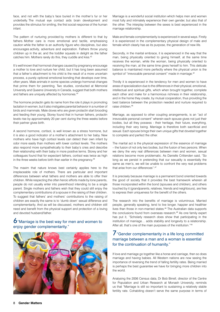face, and not with the baby's face buried in the mother's fur or her underbelly. The mutual eye contact aids brain development and provides the stimulus for smiling, the first social response of the human infant.

The pattern of nurturing provided by mothers is different to that by fathers. Mother care is more emotional and tactile, emphasising caution while the father is an authority figure who disciplines, but also encourages activity, adventure and exploration. Fathers throw young children up in the air, and the toddler squeals in delight as the father catches him. Mothers rarely do this, they cuddle and kiss.<sup>42</sup>

It's well known that hormonal changes caused by pregnancy encourage a mother to love and nurture her child, but it has long been assumed that a father's attachment to his child is the result of a more uncertain process, a purely optional emotional bonding that develops over time, often years. Male animals in some species undergo hormonal changes that prime them for parenting. Two studies, conducted at Memorial University and Queens University in Canada, suggest that both mothers and fathers are uniquely affected by hormones.<sup>43</sup>

The hormone prolactin gets its name from the role it plays in promoting lactation in women, but it also instigates parental behavior in a number of birds and mammals. Male doves who are given prolactin start brooding and feeding their young. Storey found that in human fathers, prolactin levels rise by approximately 20 per cent during the three weeks before their partner gives birth.

A second hormone, cortisol, is well known as a stress hormone, but it is also a good indicator of a mother's attachment to her baby. New mothers who have high cortisol levels can detect their own infant by odor more easily than mothers with lower cortisol levels. The mothers also respond more sympathetically to their baby's cries and describe their relationship with their baby in more positive terms. Storey and her colleagues found that for expectant fathers, cortisol was twice as high in the three weeks before birth than earlier in the pregnancy.<sup>44</sup>

The maxim that nature knows best certainly applies here to the irreplaceable role of mothers. There are particular and important differences between what fathers and mothers are able to offer their children. While respecting the often heroic efforts made by lone parents, people do not usually enter into parenthood intending to be a single parent. Single mothers and fathers wish that they could still enjoy the complementary contributions of a spouse in the raising of their children. To suggest that fathers' and mothers' contributions to the raising of children are exactly the same is to 'dumb down' sexual difference and complementarity. And as will be discussed, mothers and children still need and benefit from the physical support and protection of a loving and devoted husband/father.

## 6"Marriage is the best way for men and women to enjoy gender complementarity."



Marriage is a wonderful social institution which helps men and women most fully and intimately experience their own gender, but also that of the other. The interplay between the sexes is best experienced in the marriage relationship.

Male and female complementarity is experienced in several ways. Firstly it is experienced in the complementary physical design of male and female which clearly has as its purpose, the generation of new life.

Secondly, in the marital embrace, it is experienced in the way that the man, being physically oriented to giving himself, at the same time receives the woman, while the woman, being physically oriented to receiving the man, at the same time gives herself to him. This delicate balance is maintained more perfectly where the physical union is the symbol of "irrevocable personal consent" made in marriage.<sup>45</sup>

Thirdly it is experienced in the tendency for men and women to have areas of specialization due to the differences in their physical, emotional, intellectual and spiritual gifts, which when brought together, complete each other and make for a harmonious richness in their relationship, and in the home they create, by mutual cooperation, thus providing the best balance between the protection needed and nurture required to raise children.<sup>46</sup>

Marriage, as opposed to other coupling arrangements, is an "act of irrevocable personal consent" wherein each spouse gives not just their bodies, but all they possess - their heritage, their future, everything, including their very being. Marriage is therefore both sacrificial and sexual. Each spouse brings their own unique gifts that dovetail together to complete and perfect the other.

The marital act is the physical expression of the essence of marriage – the fusion of not only two bodies, but the fusion of two persons. When we deny the very real differences between men and women, sexual relations become more problematic. As Danielle Crittenden said, "So long as we persist in pretending that our sexuality is essentially the same as men's, we will be unable to confront the very real problems that arise from our differences" 47

It is precisely because marriage is a permanent bond oriented towards the good of society that it provides the best framework wherein all those incorporated within the bond (spouses and children), and others touched by it (grandparents, relatives, friends and neighbours), are free to express their uniqueness for the benefit of the others.

The research into the benefits of marriage is voluminous. Married people, generally speaking, tend to live longer, happier and healthier lives than those in non-married states.<sup>48</sup> The Australian data supports the conclusions found from overseas research.<sup>49</sup> As one family expert has put it, "Scholarly research does show that participating in the institution of marriage… adds stability and longevity to a relationship. After all, that's one of the main purposes of the institution."<sup>50</sup>

## 7"Gender complementarity in a life long committed marriage between a man and a woman is essential for the continuation of humanity."

If love and marriage go together like a horse and carriage, then so does marriage and having babies. All Western nations are now seeing the importance of reversing the trend of falling fertility rates. Being married is perhaps the best guarantee we have for bringing more children into the world.

Analysing the 2006 Census data, Dr Bob Birrell, director of the Centre for Population and Urban Research at Monash University, reminds us that "Marriage is still so important to sustaining a relatively stable fertility rate. Cohabiting doesn't serve the same purpose in terms of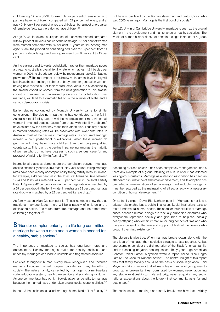childbearing." At age 30-34, for example, 47 per cent of female de facto partners have no children, compared with 21 per cent of wives, and at age 40-44 only 8 per cent of wives are childless, but almost one-quarter of female de facto partners do not have children.<sup>51</sup>

At age 30-34, for example, 49 per cent of men were married compared with 57 per cent 10 years earlier. At the same age, 56 per cent of women were married compared with 65 per cent 10 years earlier. Among men aged 30-34, the proportion cohabiting had risen to 18 per cent from 11 per cent a decade ago and among women from 9 per cent to 15 per cent.

An increasing trend towards cohabitation rather than marriage poses a threat to Australia's overall fertility rate which, at just 1.81 babies per woman in 2005, is already well below the replacement rate of 2.1 babies per woman.<sup>52</sup> The real impact of this below replacement level fertility will kick in as the current large cohorts of baby boomer generation women, having now moved out of their reproductive years, are succeeded by the smaller cohort of women from the next generation.<sup>53</sup> This smaller cohort, if combined with increased preference for cohabitation over marriage, will lead to a dramatic fall off in the number of births and a serious demographic crisis.

Earlier studies conducted by Monash University came to similar conclusions: "The decline in partnering has contributed to the fall in Australia's total fertility rate to well below replacement rate. Almost all women in married couples (aside from those with infertility problems) have children by the time they reach their late thirties. Thus any decline in married partnering rates will be associated with lower birth rates. In Australia, most of the decline in marriage rates has occurred amongst women without post-school qualifications. When these women do get married, they have more children than their degree-qualified counterparts. This is why the decline in partnering amongst the majority of women who do not have degrees is such a serious issue for any prospect of raising fertility in Australia."<sup>54</sup>

International statistics demonstrate the correlation between marriage decline and fertility decline. In a recent thirty year period, falling marriage rates have been closely accompanied by falling fertility rates. In Ireland, for example, a 43 per cent fall in the Total First Marriage Rate between 1974 and 2003 was matched by a 50 per cent fall in the Total Fertility Rate. In Spain a 42 per cent drop in the marriage rate was matched by a 59 per cent drop in the fertility rate. In Australia a 23 per cent marriage rate drop was matched by a 32 per cent fertility rate drop.<sup>55</sup>

As family expert Allan Carlson puts it, "These numbers show that, as traditional marriage fades, there will be a paucity of children and a diminished nation. The retreat from true marriage and the retreat from children go together."<sup>56</sup>

## 8 "Gender complementarity in a life-long committed marriage between a man and a woman is needed for a healthy, stable society."

The importance of marriage to society has long been noted and documented. Healthy marriages make for healthy societies, and unhealthy marriages can lead to unstable and fragmented societies.

Societies throughout human history have recognised and favoured marriage because married couples provide so many benefits to society. The natural family, cemented by marriage, is a mini-welfare state, education system, health care service and socialising institution. As one commentator has put it, "Society attaches benefits to marriage because the married have undertaken crucial social responsibilities."<sup>57</sup>

Indeed, John Locke once called marriage humankind's "first Society".<sup>58</sup>

But he was predated by the Roman statesman and orator Cicero who said 2000 years ago: "Marriage is the first bond of society."

For J.D. Unwin of Cambridge University, marriage is seen as the crucial element in the development and maintenance of healthy societies: "The whole of human history does not contain a single instance of a group



becoming civilised unless it has been completely monogamous, nor is there any example of a group retaining its culture after it has adopted less rigorous customs. Marriage as a life-long association has been an attendant circumstance of all human achievement, and its adoption has preceded all manifestations of social energy... Indissoluble monogamy must be regarded as the mainspring of all social activity, a necessary condition of human development."<sup>59</sup>

Or as family expert David Blankenhorn puts it, "Marriage is not just a private relationship but a public institution. Social institutions exist to meet fundamental human needs. The need for the institution of marriage arises because human beings are 'sexually embodied creatures who everywhere reproduce sexually and give birth to helpless, socially needy offspring who remain immature for long periods of time and who therefore depend on the love and support of both of the parents who brought them into existence'."<sup>60</sup>

The obverse is also true. When marriage breaks down, along with the very idea of marriage, then societies struggle to stay together. As but one example, consider the disintegration of the Black American family, and the ensuing negative consequences. Thirty years ago American Senator Daniel Patrick Moynihan wrote a report called "The Negro Family: The Case for National Action". The central insight of this report was that family stability should be the basis of social legislation. Said Moynihan, "A community that allows a large number of young men to grow up in broken families, dominated by women, never acquiring any stable relationship to male authority, never acquiring any set of rational expectations about the future - that community asks for and gets chaos."<sup>61</sup>

The social costs of marriage and family breakdown have been widely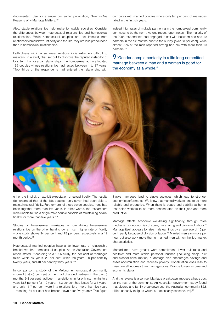10 **Gender Matters**

documented. See for example our earlier publication, "Twenty-One Reasons Why Marriage Matters."<sup>62</sup>

Also, stable relationships help make for stable societies. Consider the differences between heterosexual relationships and homosexual relationships. While heterosexual couples are not immune from relationship breakdown, infidelity and the like, they are less pronounced than in homosexual relationships.

Faithfulness within a same-sex relationship is extremely difficult to maintain. In a study that set out to disprove the reputed instability of long term homosexual relationships, the homosexual authors located 156 couples whose relationships had lasted between 1 to 37 years. "Two thirds of the respondents had entered the relationship with

compares with married couples where only ten per cent of marriages failed in the first six years.

Indeed, high rates of multiple partnering in the homosexual community continues to be the norm. As one recent report notes, "The majority of the 2006 respondents had engaged in sex with between one and 10 partners in the six months prior to the survey [over 63 per cent], while almost 20% of the men reported having had sex with more than 10 partners."<sup>67</sup>

 $9$  "Gender complementarity in a life long committed marriage between a man and a woman is good for the economy as a whole."

Stable marriages lead to stable societies, which lead to stronger economic performance. We know that married workers tend to be more reliable and productive. When there is peace and stability at home, that helps workers to be more concentrated on their jobs and more productive.

Marriage affects economic well-being significantly, through three mechanisms - economies of scale, risk sharing and division of labour.<sup>68</sup> Marriage itself appears to raise male earnings by an average of 15 per cent, partly because of division of labour.<sup>69</sup> Married men earn more per hour but also work more than unmarried men with similar job market characteristics.

Married men have greater work commitment, lower quit rates and healthier and more stable personal routines (including sleep, diet and alcohol consumption).<sup>70</sup> Marriage also encourages savings and asset accumulation and reduces poverty. Cohabitation does less to raise overall incomes than marriage does. Divorce lowers income and economic status.<sup>71</sup>

And the reverse is also true. Marriage breakdown imposes a huge cost on the rest of the community. An Australian government study found that divorce and family breakdown cost the Australian community \$2.8 billion annually (a figure which is "necessarily conservative).<sup>72</sup>

either the implicit or explicit expectation of sexual fidelity. The results demonstrated that of the 156 couples, only seven had been able to maintain sexual fidelity. Furthermore, of those seven couples, none had been together more than five years. In other words, the researchers were unable to find a single male couple capable of maintaining sexual fidelity for more than five years."<sup>63</sup>

Studies of heterosexual marriages or co-habiting heterosexual relationships on the other hand show a much higher rate of fidelity – one study shows 94 per cent and 75 per cent respectively in a 12 month period.<sup>64</sup>

Heterosexual married couples have a far lower rate of relationship breakdown than homosexual couples. As an Australian Government report stated, "According to a 1995 study, ten per cent of marriages failed within six years, 20 per cent within ten years, 30 per cent by twenty years, and 40 per cent by thirty years."<sup>65</sup>

In comparison, a study of the Melbourne homosexual community showed that 40 per cent of men had changed partners in the past 6 months; 9.8 per cent had been in a relationship for only six months to a year; 18.8 per cent for 1-2 years; 15.3 per cent had lasted for 3-5 years; and only 15.7 per cent were in a relationship of more than five years  $-$  meaning 84 per cent had broken down after five years.<sup>66</sup> This figure

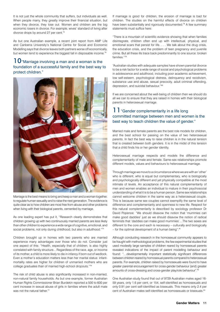It is not just the whole community that suffers, but individuals as well. When people marry, they greatly improve their financial situation, but when they divorce, they lose out. Women and children are the big economic losers in divorce. For example, wives' standard of living after divorce drops by around 27 per cent.<sup>73</sup>

As but one Australian example, a recent joint report from AMP Life and Canberra University's National Centre for Social and Economic Modelling says that divorce leaves both partners worse off economically, but women tend to experience the biggest fall in disposable income.<sup>74</sup>

# $10^{\circ}$ Marriage involving a man and a woman is the foundation of a successful family and the best way to protect children."



Marriage is the best means to bring and keep a man and a woman together, to regulate human sexuality and to raise the next generation. The evidence is quite clear as to how children are most free from abuse and other problems when living with their biological parents, cemented by marriage.

As one leading expert has put it, "Research clearly demonstrates that children growing up with two continuously married parents are less likely than other children to experience a wide range of cognitive, emotional, and social problems, not only during childhood, but also in adulthood."75

Children brought up in homes with two parents who are married experience many advantages over those who do not. Consider just one aspect of this: "Health, especially that of children, is also highly correlated with family structure... Regardless of the race, age, or income of its mother, a child is more likely to die in infancy if born out of wedlock. Even a mother's education matters less than her marital status: infantmortality rates are higher for children of unmarried mothers who are college graduates than of married high-school dropouts."<sup>76</sup>

The risk of child abuse is also significantly increased in non-married, non-natural family households. As but one example, former Australian Human Rights Commissioner Brian Burdekin reported a 500 to 600 per cent increase in sexual abuse of girls in families where the adult male was not the natural father.<sup>77</sup>

If marriage is good for children, the erosion of marriage is bad for children. The studies on the harmful effects of divorce on children have been substantially and rigorously documented.<sup>78</sup> A few summary statements must suffice here:

"There is a mountain of scientific evidence showing that when families disintegrate, children often end up with intellectual, physical, and emotional scars that persist for life. . . . We talk about the drug crisis, the education crisis, and the problem of teen pregnancy and juvenile crime. But all these ills trace back predominantly to one source: broken families."<sup>79</sup>

"Australian studies with adequate samples have shown parental divorce to be a risk factor for a wide range of social and psychological problems in adolescence and adulthood, including poor academic achievement, low self-esteem, psychological distress, delinquency and recidivism, substance use and abuse, sexual precocity, adult criminal offending, depression, and suicidal behaviour."<sup>80</sup>

If we are concerned about the well-being of children then we should do all we can to ensure that they are raised in homes with their biological parents in heterosexual marriage.

# 11 "Gender complementarity in a life long committed marriage between men and women is the best way to teach children the value of gender."

Married male and female parents are the best role models for children, and the best school for passing on the value of two heterosexual parents. In fact the best way to raise children is in the natural tension that is created between both genders. It is in the midst of this tension that a child finds his or her gender identity.

Heterosexual marriage respects and models the difference and complementarity of male and female. Same-sex relationships promote different models, values and behaviours to heterosexual marriage.

Through marriage we move to a circumstance where we are with an 'other' who is different, who is equal but complementary, who is biologically and psychologically different and yet physically compatible at the most intimate of levels. An acceptance of this natural complementarity of men and women enables an individual to mature in their psychosocial understanding of what it is to be a human person. Same sex relationships cannot welcome children in the same way as a heterosexual couple. This is because same sex couples cannot exemplify the same level of difference and complementarity and openness to new life. Respect for this natural complementarity is described by sociology professor Dr David Popenoe: "We should disavow the notion that 'mummies can make good daddies' just as we should disavow the notion of radical feminists that 'daddies can make good mummies'…The two sexes are different to the core and each is necessary – culturally and biologically – for the optimal development of a human being". $81$ 

Although conducting research in the homosexual community appears to be fraught with methodological problems, the few experimental studies that used modestly large samples of children reared by homosexual parents revealed indications of the impact of parent modelling behaviour and found: "…developmentally important statistically significant differences between children reared by homosexual parents compared to heterosexual parents. For example, children raised by homosexuals were found to have greater parental encouragement for cross-gender behaviour (and) greater amounts of cross-dressing and cross-gender play/role behaviour". <sup>82</sup>

One Australian study found that out of 9729 Australian males aged 16- 59 years, only 1.6 per cent, or 154, self-identified as homosexuals and only 0.91 per cent self-identified as bisexuals. This means only 2.4 per cent of Australian males self-identified as homosexuals or bisexuals.<sup>83</sup>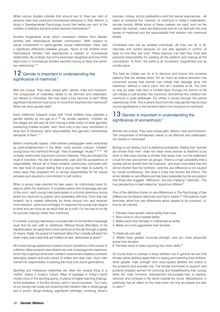While various studies indicate that around two to three per cent of persons have ever practiced homosexual behaviors in their lifetime, a study in *Developmental Psychology* found that twelve per cent of the children of lesbians became active lesbians themselves.<sup>84</sup>

Another longitudinal study which compared children from lesbian families with heterosexual families commented: "With respect to actual involvement in same-gender sexual relationships, there was a significant difference between groups…None of the children from heterosexual families had experienced a lesbian or homosexual relationship. By contrast, five of the seventeen daughters and one of the eight sons in homosexual families reported having at least one samesex relationship".<sup>85</sup>

# 12 "Gender is important in understanding the significance of manhood."

Men are unique. They have unique gifts, talents, roles and functions. The uniqueness of maleness needs to be affirmed and celebrated, not denied or minimised. But how does a boy become a man? What significant transitions must occur to move from boyhood into manhood? What role does gender play?

Early childhood research notes that "most children have adopted a gender identity by the age of 2."<sup>86</sup> As Jordan explains, "children [at this stage] are still very far from having a fixed notion of what [gender] positioning implies socially" and "have only a very hazy impression of what sort of behaviour [and responsibility] that [gender] membership demands of them".<sup>87</sup>

Before individually based, child-centred pedagogies were embraced by post-enlightenment in the West, most ancient cultures 'initiated' young boys into manhood through "rites of passage" rituals.<sup>88</sup> 89 90 All of these ceremonies had some common features. They all included the ritual of transition, the role of relationship, pain and the acceptance of responsibility. Almost all of these initiation ceremonies coincided with the new level of sexual feeling that a young man feels at puberty. In many ways they prepared him to accept responsibility for his sexual prowess and required a commitment to self control.

When a young male reaches his teen years, he instinctively looks for ways to affirm his manhood. In societies where rites of passage are part of the norm, each young male participates in a formal ceremony during which his manhood is publicly and undeniably affirmed. From that day forward, he is treated differently by those around him and receives more freedom, rights and privileges. In response the young man begins to think and act more an as adult than as a child. For the rest of his life he pursues maturity rather than manhood.

In contrast, a young male living in a society with no formal rites of passage must find his own path to adulthood. Without formal affirmation of his transformation, he vainly tries to find manhood on his own through a variety of means. Sadly, his pursuit of manhood rather than maturity will lead him down many side roads that are fruitless at best, destructive at worst.<sup>91</sup>

All human beings experience a series of such transitions in the course of a lifetime. Most ancients saw initiation as a rite of passage into manhood, which had a spiritual dimension. Initiation ceremonies created a coherent belonging system and sub-culture of elders and wise men. Such men carried the responsibility of passing the ritual onto future generations.

Sporting and Hollywood celebrities are often the closest thing to a 'mythic' status in today's culture. Rites of passage in today's world mostly occur in the sporting arena, in places of higher learning (hazing), at the workplace, in the Boy Scouts, and in 'secret societies'. Too many of our young men today are receiving their initiation rites in street gangs and in prison. Binge drinking, eighteenth birthdays, smoking, driver's licences, money, school graduations and first sexual experiences – all seem to comprise the 'markers' of manhood in today's materialistic, secular society. Whilst some of these markers are valid, such as the Jewish bar mitzvah, many are destructive and do not deal with the core issues of manhood and the responsibility that initiation into manhood entails.

Uninitiated men live as isolated individuals. All they can do is fix, calculate and control because no one else appears in control; at least no one they can trust. These insecure men feel they must take personal responsibility for creating all the patterns and making all the connections. To them, the world is an incoherent, fragmented and an unsafe place.

The best an initiate can do is to discover and honour the universal patterns that are already there. For as much as radical feminism has convinced society that women can initiate their teenage sons into manhood, without a man's input, this isn't possible at all. The truth is, only an older man who is himself been through the storms of life can initiate or call another into manhood. Sometimes this initiation into manhood is quite deliberate. For others it comes through the painful experiences of life. This is where input from the male gender has its most crucial significance in the transformation from boyhood to manhood.

# $13$  "Gender is important in understanding the significance of womanhood."

Women are unique. They have unique gifts, talents, roles and functions. The uniqueness of femaleness needs to be affirmed and celebrated, not denied or minimised.

Biology is not destiny, but it is statistical probability. Stating that "women are shorter than men" does not mean every woman is destined to be short or that every woman is shorter than every man, but the statement is true for men and women as groups. There is a high probability that a woman will be shorter than her husband - and even more likely that she will be shorter than her brothers - and this sex difference is not caused by 'social conditioning'. Nor does it imply that women are inferior. The entire debate on sex differences has been bedevilled by the accusation that those who suggest "difference" are also implying "inferiority". The true perspective is best stated as "equal but different".

One of the definitive books on sex differences is *The Psychology of Sex Differences* by Eleanor Maccoby and Carol Jacklin.<sup>92</sup> The authors, both feminists, admit four sex differences which appear to be universal, i.e. true for all cultures:

- 1. Females have greater verbal ability than boys.
- 2. Boys excel in visuo-spatial ability.
- 3. Males excel over females in mathematical ability.
- 4. Males are more aggressive than females.
- To these we can add:

5. Males have greater muscular strength, and are more physically active than females

6. Females excel in tasks requiring fine motor skills.<sup>93</sup>

Of course there is overlap in these abilities, but in general we see that female verbal abilities assist them in raising and teaching their children, while greater male strength and visuo-spatial abilities are suited to the protector and provider role. The female hormones of oxytocin and prolactin prepare women for nurturing and breastfeeding their young, while the male hormone, testosterone, encourages men to explore, discover and compete in the world outside the home. Testosterone, in particular, has an effect on the male brain not only at puberty but also in utero. $94$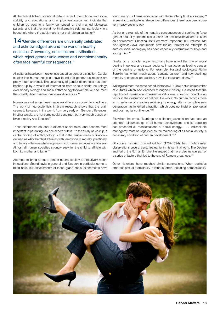All the available hard statistical data in regard to emotional and social stability and educational and employment outcomes, indicate that children do best in a family composed of their married biological parents, and that they are at risk in alternative settings, particularly in a household where the adult male is not their biological father.95

## 14 "Gender differences are universally celebrated and acknowledged around the world in healthy societies. Conversely, societies and civilisations which reject gender uniqueness and complementarity often face harmful consequences."

All cultures have been more or less based on gender distinction. Careful studies into human societies have found that gender distinctions are pretty much universal. The universality of gender differences has been backed up by a wealth of information from various fields: neurology, evolutionary biology, and social anthropology for example. All document the socially determinative innate sex differences.<sup>96</sup>

Numerous studies on these innate sex differences could be cited here. The work of neuroscientists in brain research shows that the brain seems to be sexed in the womb from very early on. Gender differences, in other words, are not some social construct, but very much based on brain circuitry and function.<sup>97</sup>

These differences do lead to different social roles, and become most important in parenting. As one expert puts it, "In the study of kinship, a central finding of anthropology is that in the crucial areas of filiation – defined as who the child affiliates with, emotionally, morally, practically, and legally – the overwhelming majority of human societies are bilateral. Almost all human societies strongly seek for the child to affiliate with both its mother and father "98

Attempts to bring about a gender neutral society are relatively recent innovations. Scandinavia in general and Sweden in particular come to mind here. But assessments of these grand social experiments have

found many problems associated with these attempts at androgyny.<sup>99</sup> In seeking to mitigate innate gender differences, there have been some very heavy costs to pay.

As but one example of the negative consequences of seeking to force gender neutrality onto the sexes, consider how boys have fared in such an environment. Christina Hoff Sommers' important 2000 volume, *The War Against Boys*, documents how radical feminist-led attempts to enforce social androgyny has been especially destructive for boys and young men.<sup>100</sup>

Finally, on a broader scale, historians have noted the role of moral decline in general and sexual deviancy in particular, as leading causes of the decline of nations. For example, Harvard sociologist Pitirim Sorokin has written much about "sensate culture," and how declining morality and sexual debauchery have led to cultural decay.<sup>101</sup>

Writing at almost the same period, historian J.D. Unwin studied a number of cultures which had declined throughout history. He noted that the rejection of marriage and sexual morality was a leading contributing factor in the destruction of nations. He wrote: "In human records there is no instance of a society retaining its energy after a complete new generation has inherited a tradition which does not insist on prenuptial and postnuptial continence."<sup>102</sup>

Elsewhere he wrote, "Marriage as a life-long association has been an attendant circumstance of all human achievement, and its adoption has preceded all manifestations of social energy. . . . Indissoluble monogamy must be regarded as the mainspring of all social activity, a necessary condition of human development."<sup>103</sup>

Of course historian Edward Gibbon (1737-1794), had made similar observations several centuries earlier in his seminal work, The Decline and Fall of the Roman Empire. He argued that moral decline was part of a series of factors that led to the end of Rome's greatness.<sup>104</sup>

Other historians have reached similar conclusions. When societies embrace sexual promiscuity in various forms, including homosexuality,

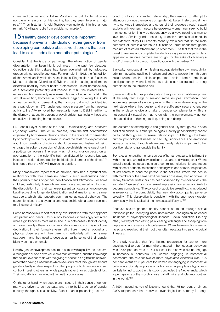chaos and decline tend to follow. Moral and sexual disintegration are not the only reasons for this decline, but they seem to play a major role.<sup>105</sup> Thus historian Arnold Toynbee was quite right in his famous remark, "Civilizations die from suicide, not murder".

#### $15$  "Healthy gender development is important because it prevents individuals of either gender from developing compulsive obsessive disorders that can lead to sexual addiction and other pathologies."

Consider first the issue of pathology. The whole notion of gender disorientation has been highly politicised in the past few decades. Objective scientific debate has been overwhelmed by advocacy groups driving specific agendas. For example, in 1952, the first edition of the American Psychiatric Association's Diagnostic and Statistical Manual of Mental Disorders (DSM), the official catalogue of mental disorders used by mental health professionals, listed homosexuality as a sociopath personality disturbance. In 1968, the revised DSM II reclassified homosexuality as a sexual deviancy. But in the midst of the sexual revolution, homosexual protestors began picketing the APA's annual conventions, demanding that homosexuality not be identified as a pathology. In 1973, under enormous pressure from homosexual activists, the APA removed homosexuality from its DSM III edition to the dismay of about 40 percent of psychiatrists - particularly those who specialized in treating homosexuals.

Dr. Ronald Bayer, author of the book, *Homosexuality and American Psychiatry*, writes: "The entire process, from the first confrontation organized by homosexual demonstrators, to the referendum demanded by orthodox psychiatrists, seemed to violate the most basic expectations about how questions of science should be resolved. Instead of being engaged in sober discussion of data, psychiatrists were swept up in a political controversy. The result was not a conclusion based on an approximation of the scientific truth as dictated by reason, but was instead an action demanded by the ideological temper of the times."<sup>106</sup> It is hoped that the APA will reverse its position.

Many homosexuals report that as children, they had a dysfunctional relationship with their same-sex parent - such relationships being their primary means of gender identification and affirmation. For some children, particularly those whose parents are separated or divorced, the dissociation from their same-sex parent can cause an unconscious but directive drive for gender identification and affirmation among samesex peers, which, after puberty, can manifest as sexual behaviour. The search for closure to a dysfunctional relationship with a parent can lead to a lifetime of misery.

Some homosexuals report that they over-identified with their opposite sex parent and peers - thus a boy becomes increasingly feminized while a girl becomes more masculine.<sup>107</sup> In both cases - lack of identity and over identity - there is a common denominator, which is emotional deprivation. In their formative years, all children need emotional and physical closeness with their parents - particularly with their samesex parent, and they need to develop a healthy sense of their gender identity as male or female.

Healthy gender development secures a person with a positive self esteem, a recognition of one's own value as a man or woman, and the knowledge that sexual love has to do with the giving of oneself as a gift to the beloved, rather than having a neediness which seeks fulfilment through sex. Secure gender identity enables respect for other people of both genders and self control in seeing others as whole people rather than as objects of lust. Their sexuality is channelled within healthy boundaries.

On the other hand, when people are insecure in their sense of gender, many are driven to compensate, and try to build a sense of gender security through sexual activity. Rather than experiencing sex as a bond to a loving, committed relationship, they use sex to attempt to attain, or convince themselves of, gender attributes. Heterosexual men try to convince themselves and others of their prowess through sexual exploits with women. Insecure heterosexual women can seek to build their sense of femininity co-dependently by always needing a man to love them. Similar gender insecurity underlies homosexual need. In her extensive study Dr Elizabeth Moberly explained that "in the male homosexual there is a search to fulfil hitherto unmet needs through the medium of restored attachment (to other men). The fact that this is the quest to resume and complete the identificatory process is particularly apparent when virile partners are sought for the sake of obtaining a 'shot' of masculinity through identification with the partner."<sup>108</sup>

Basically, homosexual men, feeling inadequate in their own masculinity, admire masculine qualities in others and seek to absorb them through sexual union. Lesbian relationships often develop from an emotional co-dependency, where feminine love alone can be trusted, to bring completion to the feminine soul.

Same-sex attracted people stagnate in their psychosexual development at the early teen stage of seeking same sex peer affirmation. Their incomplete sense of gender prevents them from developing to the next stage where they desire, and are sufficiently secure to engage in the wholesome give and take of gender complementarity. This is not essentially sexual but has to do with the complementary gender characteristics of thinking, feeling, being and doing.

The outcome of attempting to find gender security through sex is often addiction and various other pathologies. Healthy gender identity cannot be found through sex or sexual relationships, but through the basic human psychological needs of security, significance and emotional intimacy, satisfied through wholesome family relationships, and other positive relationships outside the family.

Sex rates amongst the highest sources of human pleasure. Its fulfilment is within marriage where it serves to bond husband and wife together. Where sexual experience occurs outside a committed relationship, and recurs with different partners, rather than bonding with one person, the pleasure of sex serves to bond the person to the act itself. Where this occurs with members of the same sex it becomes obsessive, then addictive. Dr Jeffrey Satinover writes: "As has been observed by psychoanalysts, the so called "perverse" forms of sexual expression are especially likely to become compulsive. "The concept of addictive sexuality… is introduced in reference to the compulsivity that inevitably accompanies perverse sexuality." This observation is consistent with the enormously greater promiscuity that is typical of the homosexual lifestyle,"<sup>109</sup>

Because secure gender identity cannot be found through sexual relationships the underlying insecurities remain, leading to an increased incidence of psychopathological illnesses. Sexual addiction, like any other, is a way of medicating pain, dealing with anger and escaping from depression and a sense of hopelessness. When these emotions are not faced and resolved at their root they often escalate into psychological illnesses.

One study revealed that "the lifetime prevalence for two or more psychiatric disorders for men who engaged in homosexual behaviors was 37.85 per cent versus 14.4 per cent for men who did not engage in homosexual behaviors. For women engaging in homosexual behaviours, the rate for two or more psychiatric disorders was 39.5 per cent versus 21.3 per cent for women not engaging in homosexual behaviours. Society's oppression of homosexual people is a hypothesis unlikely to find support in this study, concluded the Netherlands, which is perhaps one of the most homosexual-affirming and tolerant countries in the world."<sup>110</sup>

A 1994 national survey of lesbians found that 75 per cent of almost 2,000 respondents had received psychological care, many for long-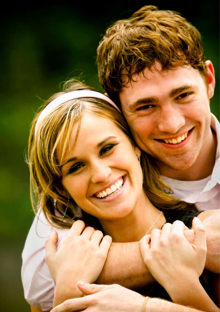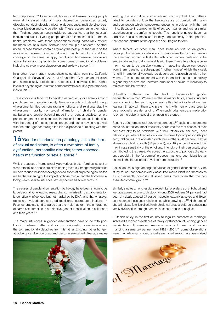term depression.<sup>111</sup> Homosexual, lesbian and bisexual young people were at increased risks of major depression, generalized anxiety disorder, conduct disorder, nicotine dependence, multiple disorders, suicidal ideation and suicide attempts. These researchers further noted that "findings support recent evidence suggesting that homosexual, lesbian and bisexual young people are at an increased risk for mental health problems, with these associations being particularly evident for measures of suicidal behavior and multiple disorders." Another noted, "These studies contain arguably the best published data on the association between homosexuality and psychopathology, and both converge on the same unhappy conclusion: homosexual people are at a substantially higher risk for some forms of emotional problems, including suicide, major depression and anxiety disorder."<sup>112</sup>

In another recent study, researchers using data from the California Quality of Life Survey of 2272 adults found that "Gay men and bisexual and homosexually experienced heterosexual individuals had higher levels of psychological distress compared with exclusively heterosexual individuals".<sup>113</sup>

These conditions tend not to develop as frequently or severely among people secure in gender identity. Gender security is fostered through wholesome families demonstrating emotional and relational stability, wholesome morality, non-sexual affirmation of children's gender attributes and secure parental modelling of gender qualities. Where parents engender consistent trust in their children each child identifies with the gender of their same sex parent and learns how to relate well with the other gender through the lived experience of relating with that parent.

 $16$  "Gender disorientation pathology, as in the form of sexual addictions, is often a symptom of family dysfunction, personality disorder, father absence, health malfunction or sexual abuse."

While the causes of homosexuality are various, broken families, absent or weak fathers, and abuse are often leading factors. Strengthening families will help reduce the incidence of gender disorientation pathologies. So too will be the lessening of the impact of those media, and the homosexual lobby, which seek to influence sexually-confused adolescents.<sup>114</sup>

The causes of gender disorientation pathology have been shown to be largely social. One leading researcher summarised, "Sexual orientation is genetically influenced but not hardwired by DNA, and that whatever genes are involved represent predispositions, not predeterminations."<sup>115</sup> Psychotherapists tend to agree that the major factor in the emergence of same sex attraction is a defective gender identification in childhood and teen years.<sup>116</sup>

The major influences in gender disorientation have to do with poor bonding between father and son, or relationship breakdown where the son emotionally detaches from his father. Ensuing 'father hunger' at puberty can be confused and become sexualized. Teenage males



seeking the affirmation and emotional intimacy that their fathers' failed to provide confuse the fleeting sense of comfort, affirmation and connection which homosexual encounter provides, with the real thing. Because it is temporary its effect soon wanes and further similar experiences and comfort is sought. The repetitive nature becomes addictive and a 'homosexual' identity - operationally "heterophobia," the fear and distrust of the opposite sex - begins to form.

Where fathers, or other men, have been abusive to daughters, heterophobia, an emotional aversion towards men often occurs, causing the emerging woman to feel safer with other women, preferring to be emotionally and sexually vulnerable with them. Daughters who perceive their mothers to be passive victims of masculine abuse can detach from them, causing a subsequent 'mother hunger' which they seek to fulfil in emotionally/sexually co-dependent relationships with other women. This is often reinforced with their conclusions that masculinity is generally abusive and therefore emotional or sexual vulnerability to males should be avoided.

Unhealthy mothering can also lead to heterophobic gender disorientation in men. Where a mother is manipulative, enmeshing and over controlling, her son may generalize this behaviour to all women, fearing intimacy with them and preferring it with men who are seen to be emotionally less demanding. When such judgments are made prior to or during puberty, sexual orientation is distorted.

Recently 200 homosexual survey respondents,<sup>117</sup> seeking to overcome same sex attraction, most frequently perceived the root causes of their homosexuality to be problems with their fathers (97 per cent); peer relationships, where they felt deficient as males by comparison (97 per cent); difficulties in relationships with their mothers (90 per cent); sexual abuse as a child or youth (48 per cent); and 87 per cent believed that their innate sensitivity or the emotional intensity of their personality also contributed to the cause. Moreover, the exposure to pornography early on, especially in the "grooming" process, has long been identified as causal in the induction of boys into homosexuality.<sup>118</sup>

Sexual abuse is high among the causes of gender disorientation. One study found that homosexually assaulted males identified themselves as subsequently homosexual seven times more often that the non assaulted control group.<sup>119</sup>

Similarly studies among lesbians reveal high prevalence of childhood and teenage abuse. In one such study among 2000 lesbians 37 per cent had been physically abused, 37 per cent raped or sexually attacked and 19 per cent reported incestuous relationships while growing up.<sup>120</sup> High rates of abuse indicate families of origin which did not protect children, suggesting family dysfunction through parental absence, abuse or neglect.

A Danish study, in the first country to legalize homosexual marriage, indicated a higher prevalence of family dysfunction influencing gender disorientation. It assessed marriage records for men and women marrying a same-sex partner from 1989 - 2001.<sup>121</sup> Some observations were: men who marry homosexually are more likely to have been raised

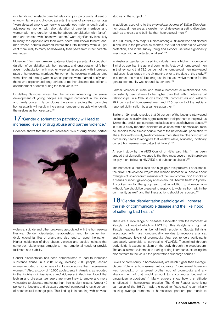in a family with unstable parental relationships - particularly, absent or unknown fathers and divorced parents; the rates of same-sex marriage "were elevated among women who experienced maternal death during adolescence, women with short duration of parental marriage, and women with long duration of mother-absent cohabitation with father"; men and women with "unknown fathers" were significantly less likely to marry the opposite sex than were peers with known fathers; and, men whose parents divorced before their 6th birthday were 39 per cent more likely to marry homosexually than peers from intact parental marriages.<sup>122</sup>

Moreover, "For men, unknown paternal identity, parental divorce, short duration of cohabitation with both parents, and long duration of fatherabsent cohabitation with mother were all associated with increased rates of homosexual marriage. For women, homosexual marriage rates were elevated among women whose parents were married briefly, and those who experienced long periods of mother absence due either to abandonment or death during the teen years."<sup>123</sup>

Dr Jeffrey Satinover notes that the factors influencing the sexual development of young people are largely contained in the social and family context. He concludes therefore, a society that promotes homosexuality will result in increasing numbers of people who identify themselves as homosexuals.<sup>124</sup>

# 17 "Gender disorientation pathology will lead to increased levels of drug abuse and partner violence."

Evidence shows that there are increased risks of drug abuse, partner



violence, suicide and other problems associated with the homosexual lifestyle. Gender disoriented relationships tend to derive from dysfunctional families of origin, and also tend to repeat the pattern. Higher incidences of drug abuse, violence and suicide indicate that same sex relationships struggle to meet emotional needs or provide fulfilment and stability.

Gender disorientation has been demonstrated to lead to increased substance abuse. In a 2001 study, involving 7000 people, lesbian women reported a higher rate of substance abuse than heterosexual women.<sup>125</sup> Also, a study of 16,000 adolescents in America, as reported in the *Archives of Paediatrics and Adolescent Medicine*, found that lesbian and bi-sexual teenagers are more likely to smoke and more vulnerable to cigarette marketing than their straight sisters. Almost 40 per cent of lesbians and bisexuals smoked, compared to just 6 per cent of heterosexual teenage girls. This finding is in keeping with previous

studies on the subject. 126

In addition, according to the *International Journal of Eating Disorders*, homosexual men are at a greater risk of developing eating disorders, such as anorexia and bulimia, than heterosexual men.<sup>127</sup>

In a 2003 study in six major US cities among 4,295 men who participated in anal sex in the previous six months, over 50 per cent did so without protection, and in the survey "drug and alcohol use were significantly associated with unprotected anal sex".<sup>128</sup>

In Australia, gender confused individuals have a higher incidence of illicit drug use than the general community. A study of homosexual men in Sydney found that 78.3 per cent of the homosexual men interviewed had used illegal drugs in the six months prior to the date of the study.<sup>129</sup> In contrast, the rate of illicit drug use in the last twelve months for the general community was around 16 per cent.<sup>130</sup>

Partner violence in male and female homosexual relationships has consistently been shown to be higher than that within heterosexual relationships. In a 1997 study among 283 homosexuals and lesbians 29.7 per cent of homosexual men and 47.5 per cent of the lesbians reported victimisation by a same-sex partner.<sup>131</sup>

Earlier a 1994 study revealed that 90 per cent of the lesbians interviewed had received acts of verbal aggression from their partners in the previous 12 months, and 31 per cent reported at least one act of physical abuse.<sup>132</sup> In 1991 a study reported incidents of violence within homosexual male households to be almost double that of the heterosexual population.<sup>133</sup> The authors of this study, two homosexual men, state that "the homosexual community needs to recognize that wealthy, white, educated, 'politically correct' homosexual men batter their lovers".<sup>134</sup>

A recent study by the AIDS Council of NSW said this: "It has been argued that domestic violence is the third most severe health problem for gay men, following HIV/AIDS and substance abuse".<sup>135</sup>

The homosexual press itself also highlights this problem. For example, the NSW Anti-Violence Project has warned homosexual people about "dangers of violence from members of their own community" It spoke of a "series of recent gay-on-gay attacks around Oxford Street" in Sydney. A spokesman for the group said that in addition to violence from without, "we should be prepared to respond to violence from within the community as well" and that these actions should be reported.<sup>136</sup>

## $18$  "Gender disorientation pathology will increase the risk of communicable disease and the likelihood of suffering bad health."

There are a wide range of diseases associated with the homosexual lifestyle, not least of which is HIV/AIDS. This lifestyle is a high risk lifestyle, leading to a number of health problems. Substantial risks associated with male homosexuality are due to receptive anal sex and increased levels of promiscuity. Anal sex renders participants particularly vulnerable to contracting HIV/AIDS. Transmitted through body fluids, it asserts its claim on the body through the bloodstream. The anus is more vulnerable to tearing during intercourse, exposing the bloodstream to the virus if the penetrator's discharge carries it.

Levels of promiscuity in homosexuality are much higher than average. Gabriel Rotello, a homosexual author, wrote: "homosexual liberation was founded… on a sexual brotherhood of promiscuity and any abandonment of that would amount to a communal betrayal of gargantuan proportions"<sup>137</sup> Many surveys show how this attitude is reflected in homosexual practice. The Grim Reaper advertising campaign of the 1980's made the need for "safe sex" clear, initially causing average numbers of homosexual partners per month to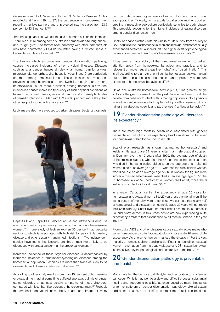decrease from 6 to 4. More recently the US Center for Disease Control reported that "from 1994 to 97, the percentage of homosexual men reporting multiple partners and unprotected sex increased from 23.6 per cent to 33.3 per cent."<sup>138</sup>

'Barebacking', anal sex without the use of condoms, is on the increase. There is a culture among some Australian homosexuals to 'bug-chase', and to 'gift give'. The former seek solidarity with other homosexuals who have contracted AIDS/HIV, the latter, having a twisted sense of benevolence, desire to impart it.<sup>139</sup>

The lifestyle which encompasses gender disorientation pathology causes increased incidents of other physical illnesses. Diseases such as anal cancer, herpes simplex virus, human papilloma virus, microsporidia, gonorrhea, viral hepatitis types B and C are particularly common among homosexual men. These diseases are much less prevalent among heterosexual men. Syphilis, though found among heterosexuals, is far more prevalent among homosexuals.<sup>140</sup> Anal intercourse causes increased frequency of such physical conditions as haemorrhoids, anal fissures, anorectal trauma and extremely high rates of parasitic infections.<sup>141</sup> Men with HIV are 90 per cent more likely than other people to suffer with anal cancer.<sup>142</sup>

Lesbians are also more exposed to certain diseases. Bacterial vaginosis.



Hepatitis B and Hepatitis C, alcohol abuse and intravenous drug use was significantly higher among lesbians than among heterosexual women.<sup>143</sup> In one study of lesbian women 30 per cent had bacterial vaginosis, which is associated with high risk for pelvic inflammatory disease and other sexually transmitted infections.<sup>144</sup> Two independent studies have found that lesbians are three times more likely to be diagnosed with breast cancer than heterosexual women.<sup>145</sup>

Increased incidence of these physical diseases is accompanied by increased incidence of emotional/psychological diseases among the homosexual population. Lesbians are more than twice as likely to be overweight and obese as heterosexual women.<sup>146</sup>

According to other study results more than 15 per cent of homosexual or bisexual men had at some time suffered anorexia, bulimia or bingeeating disorder, or at least certain symptoms of those disorders, compared with less than five percent of heterosexual men.<sup>147</sup> Probably the emphasis on youthfulness, body shape and image of many

homosexuals causes higher levels of eating disorders through risky eating practices. Typically, homosexuals lust after one another's bodies, creating a masculine sub-culture particularly sensitive to body shape. This probably accounts for the higher incidence of eating disorders among gender disoriented men.

Finally, an analysis of the California Quality of Life Survey, from a survey of 2272 adults found that homosexual men and bisexual and homosexually experienced heterosexual individuals had higher levels of psychological distress compared with exclusively heterosexual individuals.<sup>148</sup>

It has been a major victory of the homosexual movement to deflect attention away from homosexual behaviour and practice, and to refocus it on more neutral areas like "rights" and "discrimination". This is all according to plan. As one influential homosexual activist manual put it, "The public should not be shocked and repelled by premature exposure to homosexual behavior itself".<sup>149</sup>

Or as one Australian homosexual activist put it, "The greatest single victory of the gay movement over the past decade has been to shift the debate from behavior to identity, thus forcing opponents into a position where they can be seen as attacking the civil rights of homosexual citizens rather than attacking specific and (as they see it) antisocial behavior."<sup>150</sup>

# 19 "Gender disorientation pathology will decrease life expectancy."

There are many high mortality health risks associated with gender disorientation pathology. Life expectancy has been shown to be lower for homosexuals than for non-homosexuals.

Scandinavian research has shown that married homosexuals' and lesbians' life spans are 24 years shorter than heterosexual couples. In Denmark over the 12 years after 1990, the average age of death of hetero men was 74, whereas the 561 partnered homosexual men who died in the same period did so at an average age of 51. Married women died at an average age of 78, whereas the nine lesbian women who died, did so at an average age of 56. In Norway the figures were similar – married heterosexual men died at an average age of 77, the 31 homosexuals at 52; heterosexual women died at 81, while the 6 lesbians who died, did so at mean 56.<sup>151</sup>

In a major Canadian centre, life expectancy at age 20 years for homosexual and bisexual men is 8 to 20 years less than for all men. If the same pattern of mortality were to continue, we estimate that nearly half of homosexual and bisexual men currently aged 20 years will not reach their 65th birthday. Under even the most liberal assumptions, homosex ual and bisexual men in this urban centre are now experiencing a life expectancy similar to that experienced by all men in Canada in the year 1871.<sup>152</sup>

Promiscuity, AIDS and other diseases cause sexually active males who suffer from gender disorientation pathology to lose up to 20 years of life expectancy. As one writer has summarised the situation, "For the vast majority of homosexual men, and for a significant number of homosexual women - even apart from the deadly plague of AIDS - sexual behaviour is obsessive, psychopathological and destructive to the body."153

## $20$  "Gender disorientation pathology is preventable and treatable."

Many have left the homosexual lifestyle, and restoration to wholeness can occur. While it may well be a slow and difficult process, substantial healing and freedom is possible, as experienced by many thousands of former sufferers of gender disorientation pathology. Like all sexual addictions, it takes a lot of effort to break free, but it can be done.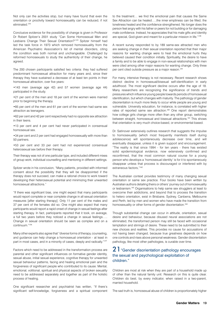Not only can the activities stop, but many have found that even the orientation or proclivity toward homosexuality can be reduced, if not eliminated.<sup>154</sup>

Conclusive evidence for the possibility of change is given in Professor Dr Robert Spitzer's 2001 study "Can Some Homosexual Men and Lesbians Change Their Sexual Orientation?"<sup>155</sup> Spitzer himself had led the task force in 1973 which removed homosexuality from the American Psychiatric Association's list of mental disorders, citing the condition was both normal and unchangeable. Challenged by reformed homosexuals to study the authenticity of their change, he agreed.

The 200 chosen participants satisfied two criteria: they had suffered predominant homosexual attraction for many years and, since their therapy they have sustained a decrease of at least ten points in their homosexual attraction, over five years:

•143 men (average age 42) and 57 women (average age 44) participated in the study.

•21 per cent of the men and 18 per cent of the women were married prior to beginning the therapy.

•85 per cent of the men and 61 per cent of the women had same sex attraction as teenagers.

•62 per cent and 42 per cent respectively had no opposite sex attraction in their teens.

•13 per cent and 4 per cent had never participated in consensual homosexual sex.

•34 per cent and 2 per cent had engaged homosexually with more than 50 partners.

•53 per cent and 33 per cent had not experienced consensual heterosexual sex before their therapy.

Their therapy was not of one particular type, and included different mixes of group work, individual counselling and mentoring in different settings.

Spitzer wrote in his conclusion, "Many patients, provided with informed consent about the possibility that they will be disappointed if the therapy does not succeed, can make a rational choice to work toward developing their heterosexual potential and minimizing their unwanted homosexual attractions."

"If there was significant bias, one might expect that many participants would report complete or near complete change in all sexual orientation measures [after starting therapy]. Only 11 per cent of the males and 37 per cent of the females did so. One might also expect that many participants would report a rapid onset of change in sexual feelings after starting therapy. In fact, participants reported that it took, on average, a full two years before they noticed a change in sexual feelings….. Change in sexual orientation should be seen as complex and on a continuum."<sup>156</sup>

Many other experts also agree that "diverse forms of therapy, counseling, and guidance can help change a homosexual orientation - at least in part in most cases, and in a minority of cases, deeply and radically."<sup>157</sup>

Factors which need to be addressed in the transformation process are parental and other significant influences on formative gender identity. sexual abuse, initial sexual experience, cognitive therapy for unwanted sexual behaviour patterns, facing and healing emotional pain and the forgiveness of significant people who contributed to its cause. Mental, emotional, volitional, spiritual and physical aspects of broken sexuality need to be addressed separately and together as part of the holistic process of healing.

One significant researcher and psychiatrist has written, "If there's significant self-knowledge, forgiveness and a spiritual component to the treatment… we find the emotional pain that causes the Same Sex Attraction can be healed…..the inner emptiness can be filled, the loneliness healed and the confidence strengthened. No longer does the person feel angry with his father or peers for not building or for damaging male confidence. Instead, he appreciates that his male gifts and identity are special, God-given and meant for a particular mission in life."158

A recent survey responded to by 189 same-sex attracted men who are seeking change in their sexual orientation reported that their major reasons for wanting change were to heal the emotional hurts they believed caused their condition initially. Spirituality, the desire to have a family and to be able to engage in non-sexual relationships with men were cited among other major reasons for wanting change. Only three per cent cited outside pressure as a major reason.<sup>159</sup>

For many, intensive therapy is not necessary. Recent research shows distinct decline in homosexual/bisexual self-identification in early adulthood. The most significant decline occurs after the age of 18. Many researchers are recognizing the significance of trends and pressures which influence young people towards periods of homosexual identification, but which changes with maturity. The pathology of gender disorientation is much more likely to occur while people are young and vulnerable. University education, for instance, is correlated with higher rates of reported same sex attraction.<sup>160</sup> One report demonstrates how college girls change more often than any other group, switching between straight, homosexual and bisexual attractions.<sup>161</sup> This shows that orientation is very much choice-based, or environmental-based.

Dr. Satinover extensively outlines research that suggests the impulse to homosexuality (which most frequently manifests itself during adolescence) will spontaneously decrease over time, and will eventually disappear, unless it is given support and encouragement. "The reality is that since 1994 - for ten years - there has existed solid epidemiological evidence, now extensively confirmed and reconfirmed, that the most common natural course for a young person who develops a 'homosexual identity' is for it to spontaneously disappear unless that process is discouraged or interfered with by extraneous factors."<sup>162</sup>

The Australian context provides testimony of many changing sexual orientation or same sex practice. Four books have been written by Australian authors detailing theirs or others' journey out of homosexuality or lesbianism.<sup>163</sup> Organisations to help same sex strugglers at least to overcome their addictions, and beyond that to process the transition to hetero orientation, exist in Brisbane, Sydney, Canberra, Melbourne and Perth, led by men and women who have made the transition from homosexuality or other forms of gender disorientation.<sup>164</sup>

Though substantial change can occur in attitude, orientation, sexual desire and behaviour, because disused neural associations are not eliminated, the transformed person may still be faced with occasional temptation and stirrings of desire. These need to be submitted to their new choices and realities. This provides no cause for accusations of not having been changed, because true greatness depends on how one controls and rises above personal weakness. Gender disorientation pathology, like most other pathologies, is curable over time.

#### $21$  "Gender disorientation pathology encourages the sexual and psychological exploitation of children."

Children are most at risk when they are part of a household made up of other than the natural family unit. Research on this is quite clear. Children do best, by every indicator, when raised in a two-parent, married household.

The sad truth is, homosexual abuse of children is proportionately higher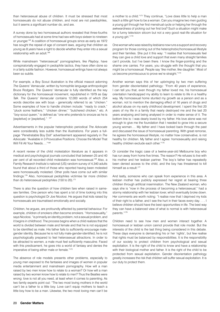than heterosexual abuse of children. It must be stressed that most homosexuals do not abuse children, and most are not paedophiles, but it seems a significant number do, and are.

A survey done by two homosexual authors revealed that three-fourths of homosexuals had at some time had sex with boys sixteen to nineteen or vounger.<sup>165</sup> A coalition of homosexual groups since as early as 1972 has sought the repeal of age of consent laws, arguing that children as young as 8 years have a right to decide whether they enter into a sexual relationship with an adult.<sup>166</sup>

While mainstream "heterosexual" pornographers, like *Playboy*, have conspiratorially engaged in pedophile tactics, they have often done so in a fairly subtle fashion. However, homosexual writings have not always been so subtle.

For example, a Boy Scout illustration is the official mascot adorning *The Queens' Vernacular*, written by homophile language anthropologist Bruce Rodgers. *The Queens' Vernacular* is fully identified as the key dictionary for the homosexual movement, republished in 1979 as *Gay Talk*. *The Queens' Vernacular* contains 12,000 words of which 254 words describe sex with boys - generically referred to as "chicken." Some examples of how to handle chicken include: "ready to crack," "pluck some feathers," "chicken dinner," "butchered chicken," etc. A "boy-scout queen," is defined as "one who pretends to snooze as he is [expletive] or [expletive]." <sup>167</sup>

Advertisements in the popular heterophobic periodical *The Advocate* were considerably less subtle than the illustrations. For years a fullpage "Penetratable Boy Doll" advertisement appeared regularly in *The Advocate*: "Available in 3 Provocative Positions: Choose the Model That Will Fill All Your Needs...."<sup>168</sup>

A recent review of the child molestation literature as it appears in medical and psychological journals concluded that between 25 and 40 per cent of all recorded child molestation was homosexual.<sup>169</sup> Also, a Family Research Institute's national (US) random survey of 4,340 adults found that about a third of those who reported having been molested were homosexually molested. Other polls have come out with similar findings.<sup>170</sup> Also, homosexual pedophiles victimise far more children than do heterosexual pedophiles (150 to 20).<sup>171</sup>

There is also the question of how children fare when raised in samesex families. One person who has spent a lot of time looking into this question is psychologist Dr Joe Nicolosi. He argues that kids raised by homosexuals are traumatised emotionally and socially.

Children, he argues, are profoundly affected by parental behaviour. For example, children of smokers often become smokers. "Homosexuality," says Nicolosi, "is primarily an identity problem, not a sexual problem, and it begins in childhood. The process begins when a child realizes that the world is divided between male and female and that he is not equipped to be identified as male. His father fails to sufficiently encourage malegender identity. Because he is not fully male-gender-identified, he is not psychologically prepared to feel heterosexual attractions. In order to be attracted to women, a male must feel sufficiently masculine. Faced with this predicament, he goes into a world of fantasy and denies the imperative of being either male or female."<sup>172</sup>

The absence of role models presents other problems, especially to young men exposed to the fantasies and images of women in popular media entertainment and mainstream pornography. How will a man raised by two men know how to relate to a woman? Or how will a man raised by two women know how to relate to men? Thus the Beatles were wrong: love is not all you need, at least when it comes to parenting. As two family experts point out: "The two most loving mothers in the world can't be a father to a little boy. Love can't equip mothers to teach a little boy how to be a man. Likewise, the two most loving men can't be

a mother to a child."173 They continue, "Love does little to help a man teach a little girl how to be a woman. Can you imagine two men guiding a young girl through her first menstrual cycle or helping her through the awkwardness of picking out her first bra? Such a situation might make for a funny television sitcom but not a very good real-life situation for a young girl."<sup>174</sup>

One woman who was raised by lesbians now runs a support and recovery program for those coming out of the heterophobic/homosexual lifestyle and their families. She put it this way: "I realise that homosexuals feel they can give a child love and support that even many straight families can't provide, but I've been there. I know the finger-pointing and the shame one carries. For years, you struggle with the thought that you might be a homosexual. People say 'like mother, like daughter.' Most of us become promiscuous to prove we're straight."<sup>175</sup>

Another woman says this of her upbringing by two men suffering from gender disorientated pathology: "From 40 years of experience, I can tell you that, even though my father loved me, his homosexual orientation handicapped my ability to learn to relate to life in a healthy way. My homosexual home stunted my growth as a person and as a woman, not to mention the damaging effect of 16 years of drugs and alcohol abuse on my early childhood development. I spent the first 20 years of my life in a family that nearly destroyed me and the last 20 years analysing and being analysed in order to make sense of it. The bottom line is: I was dearly loved by my father. His love alone was not enough to give me the foundation that I needed to grow into a secure young woman…. My father and I have looked back through the past and discussed the issue of homosexual parenting. With great remorse, he agrees the homosexual lifestyle, no matter how conservative, is not healthy for children. My father and I agree: homosexuality and raising healthy children exclude each other."<sup>176</sup>

Or consider the tragic case of a twelve-year-old Melbourne boy who has run away from home five times. The reason? He refuses to live with his mother and her lesbian partner. The boy's father has repeatedly been denied access to the child, and the boy has threatened to kill himself as a result  $177$ 

And lastly, someone who can speak from experience in this area. A lesbian mother has publicly expressed her regret at bearing three children through artificial insemination. The New Zealand woman, who says she is "now in the process of becoming a heterosexual," had a stormy relationship with her lesbian lover, which eventually broke down. Her comments are worth noting: "I realise now that I deprived my kids of their right to a father, and I see the hurt in their faces every day. . . . I believe children should have the best opportunities in life. The best way they can have a balanced view of what is normal is with heterosexual parents."<sup>178</sup>

Children need to see how men and women interact together. A homosexual or lesbian union cannot provide that role model. But the interests of the child is the last thing being considered in this debate. These days everyone is demanding his or her 'rights', but few realise that rights must be balanced by responsibilities. It is the responsibility of our society to protect children from psychological and sexual exploitation. It is the right of the child to know and have a relationship with their biological mother and father. It is the right of the child to be protected from sexual exploitation. Gender disorientation pathology greatly increases the risk that children will suffer sexual exploitation. It is our duty to protect them.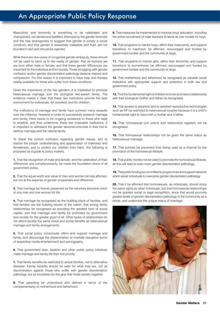# An Appropriate Public Policy Response

Masculinity and femininity is something to be celebrated and championed, not denied and belittled. Attempts by the gender feminists and the new androgynists to suggest that gender is simply a social construct, and that gender is essentially malleable and fluid, are not founded in fact and should be rejected.

While there are rare cases of congenital gender ambiguity, these should not be used to blind us to the reality of gender: that as humans we are born either male or female, and that these gender differences are important for the individual and for society. Those struggling with gender confusion and/or gender disorientation pathology deserve respect and compassion. For this reason it is important to have help and therapy readily available for those who suffer from these conditions.

Given the importance of the two genders, it is imperative to promote heterosexual marriage and the biological two-parent family. The evidence makes it clear that these two institutions provide the best environment for individuals, for societies, and for children.

The institutions of marriage and family have survived many assaults over the millennia. However in order to successfully preserve marriage and family, there needs to be ongoing resistance to those who seek to redefine, and thus undermine, these two invaluable institutions. It is important to withstand the gender deconstructionists in their bid to destroy marriage and the natural family.

To dispel the current confusion regarding gender issues, and to restore the proper understanding and appreciation of maleness and femaleness, and to protect our children from harm, the following is proposed as a guide to policy makers:

**1.** That the recognition of male and female, and the celebration of their differences and complementarity, be made the foundation stone of all government policy.

**2.** That the equal worth and value of men and women be fully affirmed, but not at the expense of gender uniqueness and difference.

**3.** That marriage be forever preserved as the voluntary exclusive union of one man and one woman for life.

**4.** That marriage be recognised as the building block of families, and that families are the building blocks of the nation; that strong family relationships be recognised as providing the greatest form of social capital; and that marriage and family be promoted by government and society for the greater good of all. Other types of relationships do not afford society the same moral and social benefits as heterosexual marriage and family arrangements.

**5.** That social policy consciously affirm and support marriage and family, and discourage the dissemination of maritally disruptive forms of sexploitive media entertainment and pornography.

**6.** That government laws, taxation and other public policy initiatives make marriage and family life their first priority.

**7.** That family benefits be restricted to actual families, not to alternative lifestyles. Family benefits should be seen for what they are, not as discrimination against those who suffer with gender disorientation pathology, but as incentives for the glue that holds society together.

**8.** That parenting be understood and defined in terms of the complementarity of motherhood and fatherhood.

**9.** That measures be implemented to improve boys' education, including the active recruitment of male teachers to serve as role models for boys.

**10.** That programs to mentor boys, affirm their masculinity, and support transitions to manhood, be affirmed, encouraged and funded by government bodies and the community at large.

**11.** That programs to mentor girls, affirm their femininity, and support transitions to womanhood, be affirmed, encouraged and funded by government bodies and the community at large.

**12.** That motherhood and fatherhood be recognised as valuable social institutions with appropriate support and protection in both law and government policy.

**13.** That the fundamental right of children to know and have a relationship with their biological mother and father be recognised.

**14.** That access to adoption and to assisted reproductive technologies such as IVF be restricted to heterosexual couples because it is a child's fundamental right to have both a mother and a father.

**15.** That homosexual civil unions and relationship registers not be recognised.

**16.** That homosexual relationships not be given the same status as heterosexual marriage.

17. That schools be prevented from being used as a channel for the promotion of the homosexual lifestyle.

**18.** That public monies not be used to promote the homosexual lifestyle, as this will lead to even more gender disorientation pathology.

**19.** That public funding be committed to programmes and support networks which assist individuals to overcome gender disorientation pathology.

**20.** That it be affirmed that homosexuals, as individuals, should enjoy the same rights as other individuals, but that homosexual relationships not be granted social or legal recognition, since that would promote greater levels of gender disorientation pathology in the community as a whole, and undermine the unique status of marriage.

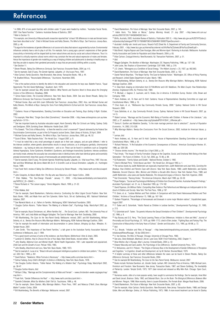<sup>1</sup> In 2006, 87% of one-parent families with children under 15 years were headed by mothers. "Australian Social Trends, 2007: One Parent Families." Canberra: Australian Bureau of Statistics, 2007.

2 Refer to Section 15.

3 For example, one University of Massachusetts researcher reported that "at least 100 differences in male and female brains have been described so far". Cited in Michael Gurian and Kathy Stevens, *The Mind of Boys.* San Francisco: Jossey-Bass, 2005, p. 46.

4 To argue for the innateness of gender differences is of course not to deny that nature is augmented by nurture. Environmental influences certainly have a role to play in all this. For example, from a young age a person's expressions of their gender (masculinity or femininity) will be shaped both by inner natural drives and also by social and cultural influences. Thus it is important to critically examine cultural norms which may constrain the free and natural expression of males and females. Hence the importance of gender role modelling as a way of helping children and adolescents to develop in healthy ways so that they are able to express their gendered personality in ways that are personally fulfilling within a society. 5 See Section 11.

6 Steven Rhoads, *Taking Sex Differences Seriously.* San Francisco: Encounter Books, 2004, pp. 4-5.

7 See for example, Dale O'Leary, *The Gender Agenda.* Lafayette, LA: Vita Issues Press, 1997.

8 Allan Carlson, *Family Questions.* New Brunswick, New Jersey: Transaction Books, 198, p. 44.

9 W. Bradford Wilcox, "Reconcilable Differences," *Touchstone,* November 2005.

<sup>10</sup> *Ibid.*

<sup>11</sup> One of the earliest articles to identify the deficit in the education and outcomes for boys was: Babette Francis, "Equal Opportunity: The Anti-Sexist Mythology," *Quadrant,* April, 1979.

<sup>12</sup> See for example Leonard Sax, *Why Gender Matters: What Parents and Teachers Need to Know about the Emerging Science of Sex Differences.* Broadway, 2006.

<sup>13</sup> Simon Baron-Cohen, *The Essential Difference.* New York: Basic Books, 2004. See also Steven Rhoads, *Taking Sex Differences Seriously.* San Francisco: Encounter Books, 2004.

<sup>14</sup> Michael Gurian, *Boys and Girls Learn Differently!* San Francisco: Jossey-Bass, 2002. Also, see Michael Gurian and Kathy Stevens, *The Minds of Boys: Saving Our Sons From Falling Behind in School and Life.* San Francisco: Jossey-Bass, 2005.

<sup>15</sup> Canberra: House of Representatives, Standing Committee on Education and Training, *Boys Getting it Right.* October, 2002.

<sup>16</sup> For example, Peter West, "Single-Sex is Best (Sometimes)". November 2006. <http://www.onlineopinion.com.au/view. asp?article=5119>.

<sup>17</sup> See two important books by Australian education expert, Kevin Donnelly: *Why Our Schools are Failing.* Sydney: Duffy and Snellgrove, 2004; *Dumbing Down.* Melbourne: Hardie Grant, 2007.

<sup>18</sup> Pru Goward. "The Crisis of Masculinity – is there the need for a men's movement?" Speech delivered by the Federal Sex Discrimination Commissioner, as part of the Oz Prospects Lecture Series, State Library of Victoria, 20 April, 2004.

<sup>19</sup> Michael Gurian and Kathy Stevens, *The Mind of Boys.* San Francisco: Jossey-Bass, 2005, pp. 46, 52.

<sup>20</sup> Susie O'Brien, "Male Teachers Rule," *The Herald Sun,* 1 August 2007, p. 9.

<sup>21</sup> It must be noted that a very small percentage of people are in their own category, and are quite different. I refer to the intersex condition, where genetic abnormalities results in sexual confusion, as in ambiguous genitalia, chromosomal imbalances – eg, having an extra sex chromosome – and so on. These can be found in conditions such as Congenital Adrenal Hyperplasia, Turner Syndrome, Klinefelter's Syndrome, and Androgen Insensitivity Syndrome. Intersex conditions are mostly innate, whereas the unusually low concordance rates in identical twins (who have identical genes and essentially prenatal environment) show that causes of homosexuality are predominantly post-natal.

<sup>22</sup> See for example, Dale O'Leary, *The Gender Agenda: Redefining Equality.* Lafayette, LA.: Vital Issue Press, 1997. Also see, Neil and Briar Whitehead, *My Genes Made Me Do It!: A Scientific Look at Sexual Orientation.* Lafayette, LA.: Huntington House, 1999.

<sup>23</sup> See Frank York's review of *Taking Sex Differences Seriously* by Steven Rhoads. <http://www:narth.com/docs/uvaprof. html>.

<sup>24</sup> John Colapinto, *As Nature Made Him: The Boy who was Raised as a Girl.* Harper Collins , 2000.

<sup>25</sup> Ellen Makkai, "The Sex-Change Charade." January 11, 2003: <http://www.worldnetdaily.com/news/article. asp?ARTICLE $ID=30442>$ 

<sup>26</sup> Renee Richards in "The Liaison Legacy," *Tennis Magazine.* March, 1999, p. 31-32.

<sup>27</sup> *Ibid.*

<sup>28</sup> Ellen Makkai, *Ibid.*

<sup>29</sup> See for example, David Blankenhorn, *Fatherless America: Confronting Our Most Urgent Social Problem.* New York: Basic Books, 1995; and Wade Horn and Tom Sylvester, *Father Facts,* 5th ed. Gaithersburg, MD.: National Fatherhood Initiative, 2007.

<sup>30</sup> See Warwick Marsh, et. al., *Fathers in Families.* Wollongong, NSW: Fatherhood Foundation, 2005.

<sup>31</sup> Douglas Carlton Abrams, "Father Nature: The Making of a Modern Dad", *Psychology Today*, March/April 2002, pp. 38-47.

<sup>32</sup> See for example, Bryce Christensen, ed., *When Families Fail…. The Social Costs.* Lanham, MD.: The University Press of America, 1991; and Linda Waite and Maggie Gallagher. The Case for Marriage. New York: Doubleday, 2000.

<sup>33</sup> Bill Muehlenberg, *The Case for the Two-Parent Family*. Melbourne: revised, 2007; and Bill Muehlenberg, William Doherty, et. al., *Twenty-One Reasons Why Marriage Matters.* Wollongong, NSW: National Marriage Coalition, 2004.

<sup>34</sup> See for example the wealth of information and documentation in James Dobson, *Bringing Up Boys.* Wheaton, Ill.: Tyndale House, 2001.

<sup>35</sup> John Smith, "The Importance of Two-Parent Families," a talk given to the Australian Family Association National Conference in Melbourne, July 7, 1994.

<sup>36</sup> For a good recent summary of some of the evidence, see Anne Manne, *Motherhood.* Allen & Unwin, 2005.

<sup>37</sup> Landrum B. Shettles, *How to Choose the Sex of Your Baby.* Main Street Books, revised edition, 1996.

<sup>38</sup> John Bowlby, *Maternal Care and Mental Health.* World Health Organization, 1951. Later expanded and popularised, *Child Care and the Growth of Love.* Pelican 1953, 1965.

<sup>39</sup> John Bowlby, *Attachment and Loss,* New York: Basic Books, 1969, 1973.

<sup>40</sup> See for example A. Lucas et al, "Breast milk and subsequent intelligence quotient in children born preterm," *The Lancet,*  vol. 339, Feb l, 1999, p. 261.

<sup>41</sup> David Nelson, "Newborns: When Formula is Necessary": <http://www.justhiv.com/new-borns.html>.

<sup>42</sup> Selma Fraiberg, *Every Child's Birthright: In Defence of Mothering*. New York: Basic Books, 1978.

<sup>43</sup> See Douglas Carlton Abrams, "Father Nature: The Making of a Modern Dad," *Psychology Today,* March/April 2002, pp. 38-47.

<sup>44</sup> Douglas Carlton Abrams, *Ibid.*

<sup>45</sup> William E May, "Marriage and the Complementarity of Male and Female": <www.christendom-awake.org/pages/may/ may.html>.

<sup>46</sup> Frank York, "Gender Differences Are Real": < http://www.narth.com/docs/york.html>.

<sup>47</sup> Danielle Crittenden, *What Our Mothers Didn't Tell Us.* Touchstone, 1999, p. 46.

<sup>48</sup> See for example, Glenn Stanton, *Why Marriage Matters.* Pinon Press, 1997; and Rebecca O'Neill, *Does Marriage Matter?* London: Civitas, 2004.

<sup>49</sup> Bill Muehlenberg, *The Benefits of Marriage.* Melbourne: revised, 2007.

<sup>50</sup> David Blankenhorn, *The Future of Marriage*. New York: Encounter Books, 2007, p. 145.

<sup>51</sup> Adele Horin, "For Better or Worse," *Sydney Morning Herald,* 21 July 2007. <http://www.smh.com.au/ articles/2007/07/20/1184560040302.html>.

<sup>52</sup> *Births, Australia, 2005,* Australian Bureau of Statistics, Publication 3301.0, <http://www.abs.gov.au/AUSSTATS/abs@. nsf/productsbyCatalogue/FF9E15176D6887D8CA2568A9001393B2?OpenDocument>.

<sup>53</sup> *Australia's fertility rate: trends and issues,* Resarch FaCS Sheet No. 9, Department of Family and Community Services, February 2001, <http://www.facs.gov.au/internet/facsinternet.nsf/VIA/ResFaCSsheets/\$File/FacsSheet9.pdf>

<sup>54</sup> Bob Birrell, Virginia Rapson and Clare Hourigan, *Men and Women Apart: Partnering in Australia*. Melbourne: Australian Family Association and Centre for Population and Urban Research, 2004, p. 65.

<sup>55</sup>Allan Carlson, *Conjugal America.* New Brunswick, NJ: Transaction Publishers, 2007, p. 51.

<sup>56</sup> *Ibid.*

<sup>57</sup> Maggie Gallagher, *The Abolition of Marriage*. Washington, DC: Regnery Publishing, 1996, pp. 137-138.

<sup>58</sup> John Locke, *Two Treatises of Government*. Cambridge: CUP, 1698, 1965, p. 319.

<sup>59</sup> J.D. Unwin, "Monogamy as a Condition of Social Energy," *The Hibbert Journal*, v. 25, 1927, pp. 662,663.

<sup>60</sup> David Blankenhorn, *The Future of Marriage*. New York: Encounter Books, 2007, p. 102. <sup>61</sup> Daniel Patrick Moynihan, "The Negro Family: The Case for National Action." Washington, DC: Office of Policy Planning

and Research, United States Department of Labor, March, 1965.

<sup>62</sup> Bill Muehlenberg, William Doherty, et. al., *Twenty-One Reasons Why Marriage Matters*. Wollongong, NSW: National Marriage Coalition, 2004.

<sup>63</sup> A. Dean Byrd, drawing on information from D.P. McWhirter and A.M. Maddison, *The Male Couple: How Relationships Develop*. Englewood Cliffs, NJ: Prentice-Hall, 1984.

<sup>64</sup> R. Michael, J. Gagnon, E. Laumann, and G. Kolata, *Sex in America: A Definitive Survey*. Boston: Little, Brown and Company, 1994.

<sup>65</sup> Kevin Andrews, ed., *To Have and To Hold*. Canberra: House of Representatives Standing Committee on Legal and Constitutional Affairs, 1998, p. 16.

<sup>66</sup> Clive Aspin, et. al., "Melbourne Gay Community Periodic Survey, 2000." Sydney: National Centre in HIV Social Research, 2000.

<sup>67</sup> Iryna Zablotska, et. al., *Gay Community Periodic Survey*. Sydney: National Centre in HIV Social Research, 2007, pp. 14-15.

<sup>68</sup> Robert Lerman, "Marriage and the Economic Well-Being of Families with Children: A Review of the Literature," July 2002, p. 27, available at: <http://www.urban.org/UploadedPDF/410541\_LitReview.pdf>

<sup>69</sup> Donna K. Gunther and Madeline Zavodny, "Is the male marriage premium due to selection?," *Journal of Population Economics*, 14, 2002, 313-328.

<sup>70</sup> *Why Marriage Matters: Twenty-One Conclusions From The Social Sciences*, 2002, Institute for American Values, p. 10.

<sup>71</sup> Lerman, *ibid*.

<sup>72</sup> Kevin Andrews, ed., *To Have and To Hold*. Canberra: House of Representatives Standing Committee on Legal and Constitutional Affairs, 1998, p. 50.

<sup>73</sup> Richard Peterson, "A Re-Evaluation of the Economic Consequences of Divorce," *American Sociological Review*, 61, 1996, pp. 528-536.

<sup>74</sup> "Divorce shrinks income," *The Herald Sun*, 6 April 2005, p. 29.

<sup>75</sup> Paul Amato, "The Impact of Family Formation Change on the Cognitive, Social, and Emotional Well-Being of the Next Generation." *The Future of Children,* 15 (2), Fall, 2005, pp. 75-96, p. 89.

<sup>76</sup> Ed Rubenstein, "Family Values and Growth," *National Review*, October 5, 1992.

<sup>77</sup> Cited in Michael Pirrie, "Child Abuse Law Alert," *The Herald Sun*, 28 August 1993, p. 1.

<sup>78</sup> The various books by Judith Wallerstein are especially important here: Judith Wallerstein and Joan Kelly, *Surviving the Breakup: How Children and Parents Cope with Divorce*. New York: Basic Books, 1980; Judith Wallerstein, and Sandra Blakeslee, *Second Chances: Men, Women and Children a Decade After Divorce*. New York: Bantam Press, 1989; and Judith Wallerstein, Julia Lewis and Sandra Blakeslee, *The Unexpected Legacy of Divorce*. New York: Hyperion, 2000. <sup>79</sup> Karl Zinsmeister, "Raising Hiroko," *The American Enterprise*, March-April 1990, pp. 53-59.

<sup>80</sup> Bryan Rodgers, "Social and Psychological Wellbeing of Children from Divorced Families: Australian Research Findings,"

*Australian Psychologist*, vol. 31, no. 3, November 1995, pp. 174-182. <sup>81</sup> David Popenoe, *Life Without Father: Compelling New Evidence That Fatherhood and Marriage are Indispensable for the* 

*Good of Children and Society*. New York: The Free Press, 1996, p 197. 82 R. Green, et. al., "Lesbian Mothers and Their children: A Comparison with Solo Parent Heterosexual Mothers and Their

Children," *Archives of Sexual Behaviour* 15, 1986, pp. 167-184. 83 Graham Fitzpatrick, "Percentages of homosexuals and bisexuals in some major Western nations", Unpublished paper,

August 2007. <sup>84</sup> F. Tasker and S. Golombok, "Adults Raised as Children in Lesbian families," *Developmental Psychology*, 31, 1995,

p. 213. <sup>85</sup> S. Golombok and F. Tasker, "Do parents Influence the Sexual Orientation of Their Children?," *Developmental Psychology* 32, 1996, p. 9.

<sup>86</sup> Kay Bussey and D.G. Perry, "The Social Learning Theory of Sex Differences: Imitation is Alive and Well," *Journal of Personality and Social Psychology*, 37, 1979, pp.1699–1712; cited in Ellen Jordan, "Fighting Boys and Fantasy Play: The Construction of Masculinity in the Early Years of School," *Gender and Education*, 7(1), 1995, pp. 69-86, p. 72. <sup>87</sup> *Ibid*.

88 G.J. Broude, "Initiation and Rites of Passage": <http://www.berkshirepublishing.com/assets\_news/WHTG/articles/ InitiationandRitesofPassage\_18-Apr-2005.html>.

<sup>89</sup> A. Van Gennep, *The Rites of Passage*. Chicago: University of Chicago Press, 1960.

<sup>90</sup> See also, Steve Biddulph, *Manhood*, 3rd ed. Lane Cove, NSW :Finch Publishing, 2002, Chapter 11.

<sup>91</sup> Brian Molitor, *Boy's Passage, Man's Journey*. Emerald Books, 2004, p. 42.

<sup>92</sup> Eleanor Maccoby and Carol Jacklin, *The Psychology of Sex Differences*. Stanford University Press, 1974.

93 D. McGuiness, and K.H. Pribram, "The Origins of Sensory Bias in the Development of Gender Differences in Perception and Cognition," in *Cognition, Growth and Development*, ed. by M. Bortner. Brunner/Mazel, 1979.

<sup>94</sup> A helpful summary of these and other differences between the sexes can be found in Steven Rhodes, *Taking Sex Differences Seriously*. San Francisco: Encounter Books, 2004.

<sup>95</sup> See for example Bill Muehlenberg, *The Case for the Two-Parent Family*. Melbourne: revised, 2007.

<sup>96</sup> Books include: Nicholas Davidson, ed., *Gender Sanity*. Lanham, MD: University Press of America, 1989; Michael Levin, *Feminism and Freedom*. New Brunswick, New Jersey: Transaction Books, 1987; and Steven Goldberg, *The Inevitability of Patriarchy*. London: Temple Smith, 1973, 1977 (later revised and released as *Why Men Rule*. Chicago: Open Court, 1999).

97 Numerous works, often of a more popular variety, have sought to summarise the findings. See for example, Anne Moir and David Jessel, *Brainsex*. Delta, 1992; and Deborah Blum, *Sex on the Brain: The Biological Differences Between Men and Women*. Penguin, 1998. More recently, there is Louann Brizendine, *The Female Brain*. Morgan Road Books, 2006.

<sup>98</sup> David Blankenhorn, *The Future of Marriage*. New York: Encounter Books, 2007, p. 83.

<sup>99</sup> See for example, Allan Carlson, *Family Questions*. New Brunswick, New Jersey: Transaction Books, 1988; and George Gilder, *Men and Marriage*. Gretna, LA: Pelican Publishing, 1973, 1986. A more recent treatment can be found in Stanley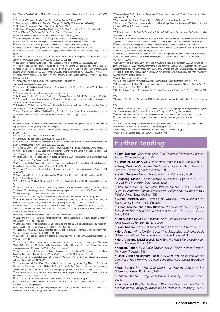Kurtz, "Fanatical Swedish Feminists," National Review online: <http://www.nationalreview.com/kurtz/kurtz200602220826.  $38n$ 

<sup>100</sup> Christina Hoff Sommers, *The War Against Boys*. New York: Simon & Schuster, 2000.

<sup>101</sup> See for example his 1941 classic, *The Crisis of Our Age*. (Garden City, NY: Doubleday, 1956 reprint).

<sup>102</sup> J.D. Unwin, *Sex and Culture*. Oxford: Oxford University Press, 1934.

<sup>103</sup> J.D. Unwin, "Monogamy as a Condition of Social Energy," *The Hibbert Journal*, vol. 25, 1927, pp. 662, 663. <sup>104</sup> Edward Gibbon, *The Decline and Fall of the Roman Empire*. 1776: various editions.

<sup>105</sup> See also, Harold O.J. Brown, *The Sensate Culture*. Dallas: Word Publishing, 1996.

<sup>106</sup> Ronald Bayer, *Homosexuality and American Psychiatry*. New York: Basic Books, 1981, pp. 3-4.

107 Mark Alexander, "The Homosexual Agenda", <http://www.patriotpost.us/papers/03-32.asp 6/6/2006>.

<sup>108</sup> Elizabeth Moberly, *Homosexuality: A New Christian Ethic*. Cambridge: James Clarke, 1983, p. 9.

<sup>109</sup> Jeffrey Satinover, *Homosexuality and the Politics of Truth*. Grand Rapids: Baker Books, 1997, p. 142.

<sup>110</sup> T.G.M. Sandfort, et al., "Same-sex behavior and psychiatric disorders," *Archives of General Psychiatry*, 58, 2001, pp. 85-91.

<sup>111</sup> J. Bradford, C. Ryan, and E. Rothhlum, "National Lesbian Health Care Survey: Implications for mental health care," *Journal of Consulting and Clinical Psychology*, 62 (2), 1994, pp. 228-242.

<sup>112</sup> J.M. Bailey, "Homosexuality and Mental Illness," *Archives of General Psychiatry*, 56, 1999, pp. 883-884.

<sup>113</sup> Susan Cochran and Vickie Mays, "Physical Health Complaints Among Lesbians, Gay Men, and Bisexual and Homosexually Experienced Heterosexual Individuals: Results from the California Quality of Life Survey, *American Journal of Public Health, First look, April 26, 2007: <http://www.ajph.org/cgi/content/abstract/AJPH.2006.087254v1>* 

<sup>114</sup> See the important paper by J.A. Reisman, "Crafting Bi/Homosexual Youth," *Regent University Law Review*, 14:2, Spring 2002, pp. 283-342.

115 Dr Francis Collins, quoted in Dean A Byrd, "Homosexuality is Not Hardwired":

<www.narth.com/docs/nothardwired.html>.

<sup>116</sup> G. J. M. van den Aardweg, *The Battle For Normality: A Guide for (Self) Therapy for Homosexuality*. San Francisco: Ignatius Press,1997, pp33-50.

 $117$  See a summary of this research at  $\leq$ www.peoplecanchange.com>

<sup>118</sup> J.A. Reisman, "Crafting Bi/Homosexual Youth," *Regent University Law Review*, Vol. 14:2, Spring 2002, pp. 283-342. <sup>119</sup> D. Shrier and R. Johnson, "Sexual victimization of boys: An ongoing study of an adolescent medicine clinic population," *Journal of the National Medical Association*, 80(11), 1988, 1189-1193.

<sup>120</sup> J. Bradford and RC Rothblum, eds., "National Lesbian Health Care Survey: Implications for Mental Health Care," *Journal of Consulting and Clinical Psychology*, 62(2), 1994 , 228-242.

121 Morten Frisch and Anders Hviid, "Childhood Family Correlates of Heterosexual and Homosexual Marriages: A National Cohort Study of Two Million Danes," *Archives of Sexual Behavior*, Oct 13, 2006, pp. 533-548.

<sup>122</sup> *Ibid.*

<sup>123</sup> *Ibid.* 124 Jeffrey Satinover, "The 'Trojan Couch': How the Mental Health Associations Misrepresent Science." NARTH, 2005: < http://www.narth.com/docs/TheTrojanCouchSatinover.pdf>.

<sup>125</sup> Sandfort, de Graaf, Biji, and Schnabel. "Same-sex behavior and psychiatric disorders," *Archives of General Psychiatry*, 58, 2001, 85-91.

<sup>126</sup> As reported in "Up in smoke," *MCV*, 23 April 2004, p. 11.

<sup>127</sup> "Gay men face eating disorders," *B.News*, 25 April 2002, p. 14.

128 Koblin et al., "High-risk behaviors among men who have sex with men in 6 U.S. Cities: Baseline data from the EXPLORE Study," *American Journal of Public Health*, 93(6),2003, 926-932.

<sup>129</sup> S.A. Knox, S. Kippax, P. van de Ven and G. Prestage, "Recreational Drug Use among Gay Men in Sydney, Australia: The Normative Role of Drug Use in Gay Social and Sexual Identity." Sydney: National Centre in HIV Social Research, 1998: <http://gateway.nlm.nih.gov/MeetingAbstracts/102228049.html>.

130 "Illicit Drugs and Alcohol: Recent Use of any Illicit Drug, Australia, 2004." Australian Institute of Criminology, 2004: <http://www.aic.gov.au/stats/crime/drugs/drug\_use.html>.

131 Waldner-Haugrud et al., "Victimization and Perpetration Rates of Violence in Homosexual and Lesbian Relationships: Gender Issues Explored," *Violence and Victims*, 12(2), 1997, 173-185.

<sup>132</sup> L. Lockhart, "Letting out the Secret: Violence in Lesbian Relationships," *Journal of Interpersonal Violence*, 9, 1994, pp. 469-492.

<sup>133</sup> David Island and Patrick Lettellier, *Men Who Beat the Men Who Love Them: Battered Gay Men and Domestic Violence*. New York: Haworth Press, 1991.

<sup>134</sup> See J.A. Reisman, "Crafting Bi/Homosexual Youth," *Regent University Law Review*, Vol. 14:2, Spring 2002, pp. 283- 342.

<sup>135</sup> "Fair's Fair: A Snapshot of Violence and Abuse in Sydney LGBT." A report by the AIDS Council of NSW and the Same Sex Domestic Violence Interagency: <http://www.ssdv.acon.org.au/providerinfo/documents/SSDV\_A4report.pdf>

<sup>136</sup> "Gays threaten gays, AVP says," *MCV*, 24 October 2003, p. 5.

<sup>137</sup> Gabriel Rotello, *Sexual Ecology: AIDS and the destiny of homosexual men*. New York: Penguin Group, 1997. 138 Center for Disease Control, "Increases in unsafe sex and rectal gonorrhea among men who have sex with men, San

Francisco, California, 1994-1997," *Mortality and Morbidity Weekly Report*. 48(3), 45-48. January 29, 1999. <sup>139</sup> See for example, Garrett Prestage, et. al., *Sydney Gay Community Periodic Survey*. Sydney: Report Series C.4.: "Changes in Behaviour over Time". Sydney: National Centre in HIV Epidemiological and Clinical Research and National

Centre in HIV Social Research, January 2000, p. 9.

<sup>140</sup> J.R. Diggs, "The Health Risks of Homosexual Sex." Corporate Research Council, 2002.

<sup>141</sup> J.E. Barone, J. Yee, and T.F. Nealon, "Management of foreign bodies and trauma of the rectum," *Surgery, Gynecology and Obstetrics*, 1983, 156(4), 453-457.

<sup>142</sup> John-Henry Westen, "Syphilis Rate Rises in US Homosexual and Bisexual Men but Declines in General Population," LifeSite, April 26, 2007: < http://www.lifesite.net/ldn/2007/apr/07042604.html>.

<sup>143</sup> K. Fethers and M. Caron, "Sexually transmitted infections and risk behaviors in women who have sex with women," *Sexually Transmitted Infections*, 76(5), 2000, pp. 345-349.

<sup>144</sup> B. Berger, et. al., "Bacterial vaginosis in lesbians: a sexually transmitted disease," *Clinical Infectious Diseases*, 21, 1995, pp. 1402-1405.

<sup>145</sup> Burnett, et. al., "Patterns of breast cancer screening among lesbians at increased risk for breast cancer," *Women and Health*, 29(4), 1999, pp. 35-55; The Medical Institute for Sexual Health, 1999; see also, K. Campbell, "Specialist weighing mammogram advice," *The Washington Blade*, 19 December 1994, p. 2.

<sup>146</sup> Ulrike Boehmer, Deborah Bowen and Greta Bauer, "Overweight and Obesity in Sexual-Minority Women: Evidence From Population-Based Data," *American Journal of Public Health*, June 2007, Vol. 97, Iss. 6, pp. 1134-1140.

<sup>147</sup> See an abstract of the article in the *International Journal of Eating Disorders*: <http://www3.interscience.wiley.com/ cgi-bin/abstract/114099467/ABSTRACT>.

<sup>148</sup> Susan Cochran and Vickie Mays, "Physical Health Complaints Among Lesbians, Gay Men, and Bisexual and Homosexually Experienced Heterosexual Individuals: Results from the California Quality of Life Survey, *American Journal of Public Health, First look, April 26, 2007:* <http://www.ajph.org/cgi/content/abstract/AJPH.2006.087254v1>.

<sup>149</sup> Marshall Kirk and Hunter Madsen, *After the Ball: How America Will Conquer Its Hatred and Fear of Homosexuals in the 90s*. New York: Plume, 1990, pp. 177-178.

<sup>150</sup> Dennis Altman, *The Homosexualization of America*. New York: St. Martin's Press, 1982, p 9.

<sup>151</sup> Paul Cameron,. "Federal Distortion of The Homosexual Footprint.": <http://www.lifesite.net/ldn/2007\_docs/ CameronHomosexualFootprint.pdf>.

152 R.S. Hogg and S.A. Strathdee, "Modeling the impact of HIV disease on mortality in homosexual and bisexual men," *International Journal of Epidemiology*, 26(3), 657-661, 1997, p. 657.

153 Thomas Schmidt, *Straight & Narrow: Compassion & Clarity in the Homosexuality Debate*. Downers Grove, Illinois: InterVarsity Press, 1995, p. 130.

<sup>154</sup> See for example, Joe Nicolosi, *Reparative Therapy of Male Homosexuality*. Jason Aronson, 1991.

<sup>155</sup> Robert Spitzer, "Can Some Homosexual Men and Lesbians Change Their Sexual Orientation?," *Archives of Sexual Behaviour*, vol 32, no 5, Oct. 2003, pp. 403-417.

<sup>156</sup> *Ibid*.

<sup>157</sup> G J M van den Aardweg, *The Battle For Normality: A Guide for (Self) Therapy for Homosexuality*. San Francisco: Ignatius Press, 1997, pp. 93-95.

<sup>158</sup> An interview in MercatorNet: "Schools withhold sad facts about homosexual lifestyle," 3 November 2006 with Dr. Richard Fitzgibbons, a psychiatrist and Director of Comprehensive Counselling Services in W. Conshohocken, Pennsylvania.

159 "Survey on Factors Motivating Desire to Change," <http://www.peoplecanchange.com/Why\_Change.htm <sup>160</sup> Gudrun Schultz, "Society that promotes homosexuality results in more self-identified homosexuals." NARTH, February 9, 2006: <http://www.lifesite.net/ldn/2006/feb/06020902.html>.

<sup>161</sup> Jeffrey Padgett, "Homosexuality not genetic," *Western Courier*, September 10, 2006: <http://www.westerncourier. com/home/index.cfm?event=displayArticlePrinterFriendly&uStory\_id=930fa2de-4ff9-49c1-977e-73b83ae38013>. <sup>162</sup> Gudrun Schultz, *ibid*.

<sup>163</sup> Jeff Morrow, *Once Gay Always Gay?: Homosexual to Husband.* Sydney: Next Foundation, 2005; Shirley Baskett, *The Woman Who Outran the Devil: The Extraordinary Story of One Woman's Search For Real Love*. London: Monarch, 2005; Christopher Keane, ed., *What Some of You Were: Stories About Christians and Homosexuality*. Sydney: Matthais Media, 2001; and Ron Brookman, *Crossing Over: A Journey Of Transformation From Homosexuality and Other Dysfunctions Towards Wholeness*, awaiting publication.

164 Liberty, Courage and Living Waters Groups.

<sup>165</sup> Cited in Roger Magnuson, *Are Homosexual Rights Right?* Portland, Oregon: Multnomah Press, 1990, p. 46.

<sup>166</sup> Reported in George Grant and Mark Horne, *Legislating Immorality: The Homosexual Movement Comes Out of the Closet*. Chicago: Moody Press, 1993, pp 40, 42.

<sup>167</sup> See J.A. Reisman, "Crafting Bi/Homosexual Youth," *Regent University Law Review*, Vol. 14:2, Spring 2002, pp. 283- 342.

<sup>168</sup> *Ibid.*

<sup>169</sup> Reported in Paul Cameron, *Exposing the AIDS Scandal*. Lafayette, Louisiana: Huntington House Publishers, 1988, p 39.

<sup>170</sup> *Ibid*.

171 K. Freund and R.I. Watson, "The proportions of heterosexual and homosexual pedophiles among sex offenders against children: an exploratory study," *Journal of Sex and Marital Therapy*, vol. 18, Spring 1992, pp. 34-43.

<sup>172</sup>Michael Ebert, "Joseph Nicolosi, PhD., is the Fugitive," *Focus on the Family Citizen*, June 20, 1994, pp. 10-12. <sup>173</sup> Glenn Stanton and Bill Maier, *Marriage on Trial*. Downers Grove, Ill.: InterVarsity Press, 2004, p. 71. <sup>174</sup> *Ibid*.

<sup>175</sup> Cited in Don Feder, "Dangers of Homosexual Parenting are Underrated," *The Boston Globe*, September 27, 1993.

176 Testimony of Suzanne Cook before the Oregon State Senate, April 3, 1997 <sup>177</sup> Kylie Smith, "I prefer suicide to lesbian mum," *The Herald Sun*, 24 November 2002, p. 6.

<sup>178</sup> Patrick Smellie, "Mum no more," *The Australian*, 24 January 1995.

Further Reading:

•Blum, Deborah, *Sex on the Brain: The Biological Differences Between Men and Women.* Penguin, 1998.

•Brizendine, Louann, *The Female Brain.* Morgan Road Books, 2006.

•Geary, David, *Male, Female: The Evolution of Human Sex Differences.*

American Psychological Association, 1998.

•Gilder, George, *Men and Marriage.* Pelican Publishing, 1986.

•Goldberg, Steven, *The Inevitability of Patriarchy.* Open Court, 1993; revised, *Why Men Rule.* Open Court, 1999.

•Gray, John, *Men Are from Mars, Women Are from Venus: A Practical Guide for Improving Communication and Getting What You Want in Your Relationships.* HarperCollins, 1993.

•Gurian, Michael, *What Could He Be Thinking?: How a Man's Mind Really Works.* St. Martin's Griffin, 2004.

•Gurian, Michael and Kathy Stevens, *The Minds of Boys: Saving Our Sons From Falling Behind in School and Life.* San Francisco: Jossey-Bass, 2005.

•Hales, Dianne, *Just Like a Woman: How Gender Science Is Redefining What Makes Us Female.* Bantam, 2000.

•Levin, Michael, *Feminism and Freedom,* Transaction Publishers, 1988. •Moir, Anne, *Why Men Don't Iron: The Fascinating and Unalterable Differences Between Men and Women.* Citadel Press, 2003.

•Moir, Anne and David Jessel, *Brain Sex: The Real Difference Between Men and Women.* Delta, 1992.

•Nadeau, Robert, *S/He Brain: Science, Sexual Politics, and the Myths of Feminism.* Praeger, 1996.

•Pease, Allan and Barbara Pease, *Why Men Don't Listen and Women Can't Read Maps: How We're Different and What to Do About It.* Broadway, 2001.

•Pool, Robert, *Eve's Rib: Searching for the Biological Roots of Sex Differences.* Crown Publishers, 1994.

•Rhoads, Stephen, *Taking Sex Differences Seriously.* Encounter Books, 2004.

•Sax, Leonard, *Why Gender Matters: What Parents and Teachers Need to Know about the Emerging Science of Sex Differences.* Broadway, 2006.